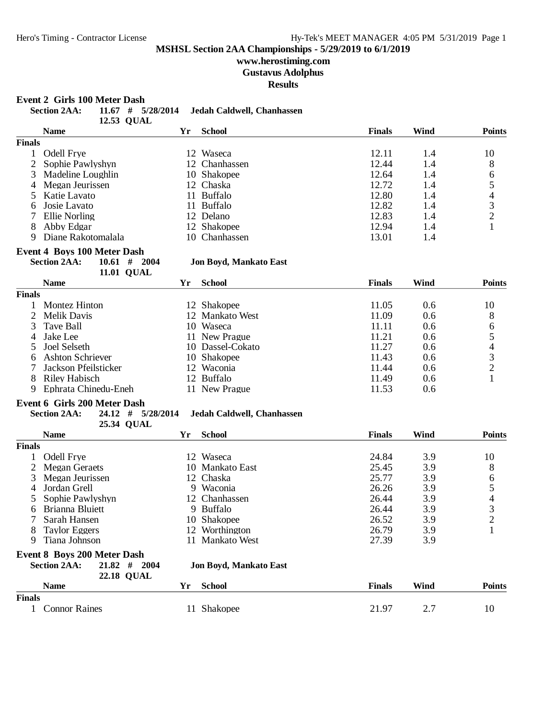## **www.herostiming.com**

**Gustavus Adolphus**

**Results**

### **Event 2 Girls 100 Meter Dash**

|                | <b>Section 2AA:</b><br>$11.67$ # $5/28/2014$<br>12.53 QUAL |    | Jedah Caldwell, Chanhassen    |               |      |                                                 |
|----------------|------------------------------------------------------------|----|-------------------------------|---------------|------|-------------------------------------------------|
|                | <b>Name</b>                                                | Yr | <b>School</b>                 | <b>Finals</b> | Wind | <b>Points</b>                                   |
| <b>Finals</b>  |                                                            |    |                               |               |      |                                                 |
| $\mathbf{1}$   | Odell Frye                                                 |    | 12 Waseca                     | 12.11         | 1.4  | 10                                              |
| $\overline{c}$ | Sophie Pawlyshyn                                           |    | 12 Chanhassen                 | 12.44         | 1.4  | 8                                               |
| 3              | Madeline Loughlin                                          |    | 10 Shakopee                   | 12.64         | 1.4  | 6                                               |
| 4              | Megan Jeurissen                                            |    | 12 Chaska                     | 12.72         | 1.4  | 5                                               |
| 5              | Katie Lavato                                               |    | 11 Buffalo                    | 12.80         | 1.4  |                                                 |
| 6              | Josie Lavato                                               |    | 11 Buffalo                    | 12.82         | 1.4  | $\begin{array}{c} 4 \\ 3 \\ 2 \end{array}$      |
| 7              | Ellie Norling                                              |    | 12 Delano                     | 12.83         | 1.4  |                                                 |
| 8              | Abby Edgar                                                 |    | 12 Shakopee                   | 12.94         | 1.4  | 1                                               |
| 9              | Diane Rakotomalala                                         |    | 10 Chanhassen                 | 13.01         | 1.4  |                                                 |
|                | <b>Event 4 Boys 100 Meter Dash</b>                         |    |                               |               |      |                                                 |
|                | <b>Section 2AA:</b><br>$10.61$ # 2004<br>11.01 QUAL        |    | <b>Jon Boyd, Mankato East</b> |               |      |                                                 |
|                | <b>Name</b>                                                | Yr | <b>School</b>                 | <b>Finals</b> | Wind | <b>Points</b>                                   |
| <b>Finals</b>  |                                                            |    |                               |               |      |                                                 |
| $\mathbf{1}$   | Montez Hinton                                              |    | 12 Shakopee                   | 11.05         | 0.6  | 10                                              |
| $\overline{2}$ | <b>Melik Davis</b>                                         |    | 12 Mankato West               | 11.09         | 0.6  | 8                                               |
| 3              | <b>Tave Ball</b>                                           |    | 10 Waseca                     | 11.11         | 0.6  | 6                                               |
| 4              | Jake Lee                                                   |    | 11 New Prague                 | 11.21         | 0.6  |                                                 |
| 5              | Joel Selseth                                               |    | 10 Dassel-Cokato              | 11.27         | 0.6  | $\begin{array}{c} 5 \\ 4 \\ 3 \\ 2 \end{array}$ |
| 6              | <b>Ashton Schriever</b>                                    |    | 10 Shakopee                   | 11.43         | 0.6  |                                                 |
|                | Jackson Pfeilsticker                                       |    | 12 Waconia                    | 11.44         | 0.6  |                                                 |
| 8              | <b>Riley Habisch</b>                                       |    | 12 Buffalo                    | 11.49         | 0.6  | 1                                               |
| 9              | Ephrata Chinedu-Eneh                                       |    | 11 New Prague                 | 11.53         | 0.6  |                                                 |
|                | <b>Event 6 Girls 200 Meter Dash</b>                        |    |                               |               |      |                                                 |
|                | <b>Section 2AA:</b><br>24.12 # 5/28/2014                   |    | Jedah Caldwell, Chanhassen    |               |      |                                                 |
|                | 25.34 QUAL                                                 |    |                               |               |      |                                                 |
|                | <b>Name</b>                                                | Yr | <b>School</b>                 | <b>Finals</b> | Wind | <b>Points</b>                                   |
| <b>Finals</b>  |                                                            |    |                               |               |      |                                                 |
| $\mathbf{1}$   | <b>Odell Frye</b>                                          |    | 12 Waseca                     | 24.84         | 3.9  | 10                                              |
| 2              | <b>Megan Geraets</b>                                       |    | 10 Mankato East               | 25.45         | 3.9  | 8                                               |
| 3              | Megan Jeurissen                                            |    | 12 Chaska                     | 25.77         | 3.9  | 6                                               |
| 4              | Jordan Grell                                               |    | 9 Waconia                     | 26.26         | 3.9  | 5                                               |
| 5              | Sophie Pawlyshyn                                           |    | 12 Chanhassen                 | 26.44         | 3.9  | $\overline{4}$                                  |
|                | 6 Brianna Bluiett                                          |    | 9 Buffalo                     | 26.44         | 3.9  | 3                                               |
|                | Sarah Hansen                                               |    | 10 Shakopee                   | 26.52         | 3.9  | $\overline{2}$                                  |
| 8              | <b>Taylor Eggers</b>                                       |    | 12 Worthington                | 26.79         | 3.9  | 1                                               |
| 9              | Tiana Johnson                                              |    | 11 Mankato West               | 27.39         | 3.9  |                                                 |
|                | <b>Event 8 Boys 200 Meter Dash</b>                         |    |                               |               |      |                                                 |
|                | <b>Section 2AA:</b><br>$21.82$ # 2004<br><b>22.18 QUAL</b> |    | <b>Jon Boyd, Mankato East</b> |               |      |                                                 |
|                | <b>Name</b>                                                | Yr | <b>School</b>                 | <b>Finals</b> | Wind | <b>Points</b>                                   |
| <b>Finals</b>  |                                                            |    |                               |               |      |                                                 |
| $\mathbf{1}$   | <b>Connor Raines</b>                                       |    | 11 Shakopee                   | 21.97         | 2.7  | 10                                              |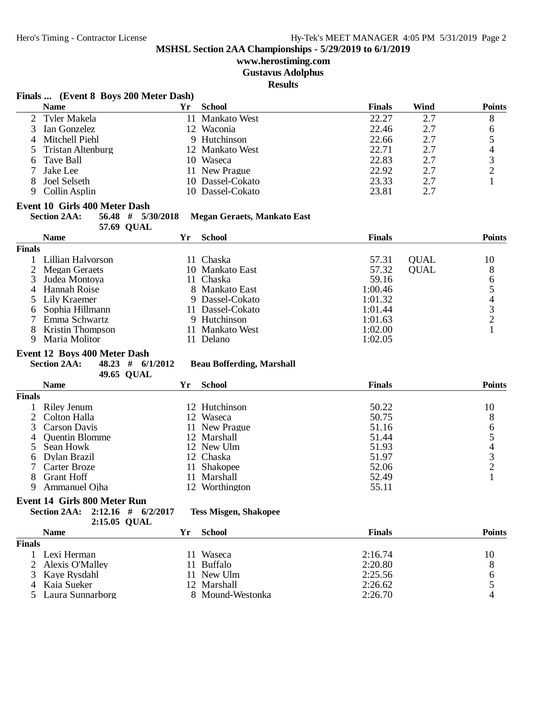## **www.herostiming.com**

**Gustavus Adolphus**

**Results**

#### **Finals ... (Event 8 Boys 200 Meter Dash)**

| <b>Name</b>         | Үr | School           | <b>Finals</b> | Wind | <b>Points</b> |
|---------------------|----|------------------|---------------|------|---------------|
| 2 Tyler Makela      |    | 11 Mankato West  | 22.27         | 2.7  | 8             |
| 3 Ian Gonzelez      |    | 12 Waconia       | 22.46         | 2.7  | 6             |
| 4 Mitchell Piehl    |    | 9 Hutchinson     | 22.66         | 2.7  |               |
| 5 Tristan Altenburg |    | 12 Mankato West  | 22.71         | 2.7  |               |
| 6 Tave Ball         |    | 10 Waseca        | 22.83         | 2.7  |               |
| 7 Jake Lee          |    | 11 New Prague    | 22.92         | 2.7  |               |
| Joel Selseth        |    | 10 Dassel-Cokato | 23.33         | 2.7  |               |
| 9 Collin Asplin     |    | 10 Dassel-Cokato | 23.81         | 2.7  |               |

#### **Event 10 Girls 400 Meter Dash**

| <b>Section 2AA:</b> |            |  | 56.48 # 5/30/2018 Megan Geraets, Mankato East |
|---------------------|------------|--|-----------------------------------------------|
|                     | 57.69 OUAL |  |                                               |

|               | <b>Name</b>             | Yr | <b>School</b>    | <b>Finals</b> |             | <b>Points</b> |
|---------------|-------------------------|----|------------------|---------------|-------------|---------------|
| <b>Finals</b> |                         |    |                  |               |             |               |
|               | 1 Lillian Halvorson     |    | 11 Chaska        | 57.31         | <b>OUAL</b> | 10            |
|               | 2 Megan Geraets         |    | 10 Mankato East  | 57.32         | <b>OUAL</b> | 8             |
|               | 3 Judea Montoya         |    | 11 Chaska        | 59.16         |             |               |
|               | 4 Hannah Roise          |    | 8 Mankato East   | 1:00.46       |             |               |
|               | 5 Lily Kraemer          |    | 9 Dassel-Cokato  | 1:01.32       |             |               |
|               | 6 Sophia Hillmann       |    | 11 Dassel-Cokato | 1:01.44       |             |               |
|               | 7 Emma Schwartz         |    | 9 Hutchinson     | 1:01.63       |             |               |
|               | <b>Kristin Thompson</b> |    | 11 Mankato West  | 1:02.00       |             |               |
|               | Maria Molitor           |    | Delano           | 1:02.05       |             |               |

# **Event 12 Boys 400 Meter Dash**<br>Section 2AA: 48.23 # 6/1

48.23 # 6/1/2012<br>49.65 QUAL

**Beau Bofferding, Marshall** 

|        | $\sim$ $\sim$ $\sim$ $\sim$ $\sim$ $\sim$ $\sim$ |     |                |               |               |  |
|--------|--------------------------------------------------|-----|----------------|---------------|---------------|--|
|        | <b>Name</b>                                      | Yr  | <b>School</b>  | <b>Finals</b> | <b>Points</b> |  |
| Finals |                                                  |     |                |               |               |  |
|        | Riley Jenum                                      |     | 12 Hutchinson  | 50.22         | 10            |  |
|        | 2 Colton Halla                                   |     | 12 Waseca      | 50.75         | 8             |  |
|        | 3 Carson Davis                                   |     | 11 New Prague  | 51.16         | 6             |  |
|        | 4 Quentin Blomme                                 |     | 12 Marshall    | 51.44         |               |  |
|        | 5 Sean Howk                                      |     | 12 New Ulm     | 51.93         |               |  |
| 6      | Dylan Brazil                                     |     | 12 Chaska      | 51.97         | 3             |  |
|        | Carter Broze                                     | 11  | Shakopee       | 52.06         |               |  |
| 8      | Grant Hoff                                       | 11. | Marshall       | 52.49         |               |  |
| 9      | Ammanuel Ojha                                    |     | 12 Worthington | 55.11         |               |  |
|        |                                                  |     |                |               |               |  |

## **Event 14 Girls 800 Meter Run**

**Section 2AA: 2:12.16 # 6/2/2017 Tess Misgen, Shakopee 2:15.05 QUAL** 

|               | Name               | Yг | School           | <b>Finals</b> | Points |
|---------------|--------------------|----|------------------|---------------|--------|
| <b>Finals</b> |                    |    |                  |               |        |
|               | Lexi Herman        |    | Waseca           | 2:16.74       | 10     |
|               | 2 Alexis O'Malley  |    | 11 Buffalo       | 2:20.80       |        |
|               | 3 Kaye Rysdahl     |    | 11 New Ulm       | 2:25.56       |        |
| 4             | Kaia Sueker        |    | 12 Marshall      | 2:26.62       |        |
|               | 5 Laura Sunnarborg |    | 8 Mound-Westonka | 2:26.70       |        |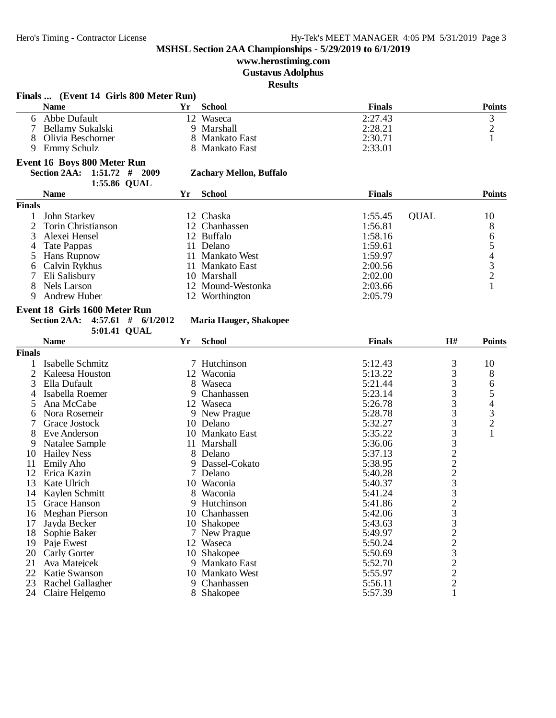# **www.herostiming.com**

**Gustavus Adolphus**

**Results**

|               | Finals  (Event 14 Girls 800 Meter Run)        |    |                                |               |                 |                                |
|---------------|-----------------------------------------------|----|--------------------------------|---------------|-----------------|--------------------------------|
|               | <b>Name</b>                                   | Yr | <b>School</b>                  | <b>Finals</b> |                 | <b>Points</b>                  |
|               | 6 Abbe Dufault                                |    | 12 Waseca                      | 2:27.43       |                 | 3                              |
|               | Bellamy Sukalski                              |    | 9 Marshall                     | 2:28.21       |                 | $\overline{c}$                 |
| 8             | Olivia Beschorner                             |    | 8 Mankato East                 | 2:30.71       |                 | $\mathbf{1}$                   |
| 9             | Emmy Schulz                                   |    | 8 Mankato East                 | 2:33.01       |                 |                                |
|               | Event 16 Boys 800 Meter Run                   |    |                                |               |                 |                                |
|               | <b>Section 2AA:</b><br>$1:51.72$ # 2009       |    | <b>Zachary Mellon, Buffalo</b> |               |                 |                                |
|               | 1:55.86 QUAL                                  |    |                                |               |                 |                                |
|               | <b>Name</b>                                   | Yr | <b>School</b>                  | <b>Finals</b> |                 | <b>Points</b>                  |
| <b>Finals</b> |                                               |    |                                |               |                 |                                |
|               |                                               |    |                                |               | <b>OUAL</b>     |                                |
|               | John Starkey                                  |    | 12 Chaska                      | 1:55.45       |                 | 10                             |
| 2             | Torin Christianson                            |    | 12 Chanhassen                  | 1:56.81       |                 | 8                              |
| 3             | Alexei Hensel                                 |    | 12 Buffalo                     | 1:58.16       |                 | 65432                          |
| 4             | Tate Pappas                                   |    | 11 Delano                      | 1:59.61       |                 |                                |
| 5             | Hans Rupnow                                   |    | 11 Mankato West                | 1:59.97       |                 |                                |
| 6             | Calvin Rykhus                                 |    | 11 Mankato East                | 2:00.56       |                 |                                |
| 7             | Eli Salisbury                                 |    | 10 Marshall                    | 2:02.00       |                 |                                |
| 8             | Nels Larson                                   |    | 12 Mound-Westonka              | 2:03.66       |                 | $\mathbf{1}$                   |
| 9             | <b>Andrew Huber</b>                           |    | 12 Worthington                 | 2:05.79       |                 |                                |
|               | Event 18 Girls 1600 Meter Run                 |    |                                |               |                 |                                |
|               | <b>Section 2AA:</b><br>$4:57.61$ # $6/1/2012$ |    | <b>Maria Hauger, Shakopee</b>  |               |                 |                                |
|               |                                               |    |                                |               |                 |                                |
|               | 5:01.41 QUAL                                  |    |                                |               |                 |                                |
|               | <b>Name</b>                                   | Yr | <b>School</b>                  | <b>Finals</b> | H#              | <b>Points</b>                  |
| <b>Finals</b> |                                               |    |                                |               |                 |                                |
|               | Isabelle Schmitz                              |    | 7 Hutchinson                   | 5:12.43       | 3               | 10                             |
| 2             | Kaleesa Houston                               |    | 12 Waconia                     | 5:13.22       | 3               | 8                              |
| 3             | Ella Dufault                                  |    | 8 Waseca                       | 5:21.44       | 3               | 6                              |
| 4             | Isabella Roemer                               | 9  | Chanhassen                     | 5:23.14       | 3               | $\frac{5}{4}$<br>$\frac{3}{2}$ |
| 5             | Ana McCabe                                    |    | 12 Waseca                      | 5:26.78       | 3               |                                |
| 6             | Nora Rosemeir                                 |    | 9 New Prague                   | 5:28.78       | 3               |                                |
|               | Grace Jostock                                 |    | 10 Delano                      | 5:32.27       | 3               |                                |
|               | Eve Anderson                                  |    | 10 Mankato East                | 5:35.22       |                 | $\mathbf{1}$                   |
| 9             | Natalee Sample                                |    | 11 Marshall                    | 5:36.06       |                 |                                |
| 10            | <b>Hailey Ness</b>                            |    | 8 Delano                       | 5:37.13       |                 |                                |
| 11            | <b>Emily Aho</b>                              |    | 9 Dassel-Cokato                | 5:38.95       |                 |                                |
| 12            | Erica Kazin                                   |    | 7 Delano                       | 5:40.28       | $33222$<br>$23$ |                                |
| 13            | Kate Ulrich                                   |    | 10 Waconia                     | 5:40.37       |                 |                                |
| 14            | Kaylen Schmitt                                |    | 8 Waconia                      | 5:41.24       | $\overline{3}$  |                                |
| 15            | Grace Hanson                                  |    | 9 Hutchinson                   | 5:41.86       |                 |                                |
| 16            | Meghan Pierson                                | 10 | Chanhassen                     | 5:42.06       |                 |                                |
| 17            | Jayda Becker                                  |    | 10 Shakopee                    | 5:43.63       |                 |                                |
| 18            | Sophie Baker                                  |    | 7 New Prague                   | 5:49.97       |                 |                                |
|               |                                               |    |                                |               |                 |                                |
| 19            | Paje Ewest                                    |    | 12 Waseca                      | 5:50.24       |                 |                                |
| 20            | <b>Carly Gorter</b>                           |    | 10 Shakopee                    | 5:50.69       |                 |                                |
| 21            | Ava Mateicek                                  |    | 9 Mankato East                 | 5:52.70       | 23322322        |                                |
| 22            | Katie Swanson                                 |    | 10 Mankato West                | 5:55.97       |                 |                                |
| 23            | Rachel Gallagher                              | 9  | Chanhassen                     | 5:56.11       |                 |                                |
| 24            | Claire Helgemo                                |    | 8 Shakopee                     | 5:57.39       | $\mathbf{1}$    |                                |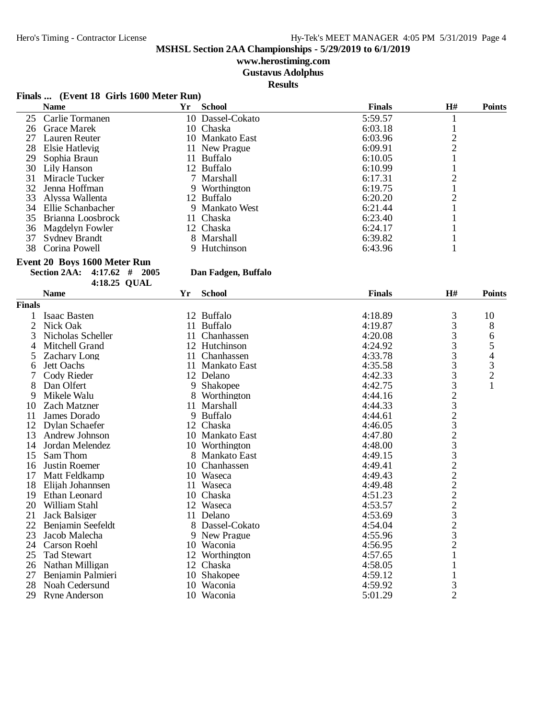## **www.herostiming.com**

**Gustavus Adolphus**

**Results**

## **Finals ... (Event 18 Girls 1600 Meter Run)**

|    | <b>Name</b>          | Yr | <b>School</b>    | <b>Finals</b> | H# | <b>Points</b> |
|----|----------------------|----|------------------|---------------|----|---------------|
|    | 25 Carlie Tormanen   |    | 10 Dassel-Cokato | 5:59.57       |    |               |
| 26 | <b>Grace Marek</b>   |    | 10 Chaska        | 6:03.18       |    |               |
| 27 | Lauren Reuter        |    | 10 Mankato East  | 6:03.96       |    |               |
| 28 | Elsie Hatlevig       |    | 11 New Prague    | 6:09.91       | ⌒  |               |
| 29 | Sophia Braun         |    | 11 Buffalo       | 6:10.05       |    |               |
| 30 | Lily Hanson          |    | 12 Buffalo       | 6:10.99       |    |               |
| 31 | Miracle Tucker       |    | 7 Marshall       | 6:17.31       |    |               |
| 32 | Jenna Hoffman        |    | 9 Worthington    | 6:19.75       |    |               |
| 33 | Alvssa Wallenta      |    | 12 Buffalo       | 6:20.20       |    |               |
| 34 | Ellie Schanbacher    |    | 9 Mankato West   | 6:21.44       |    |               |
|    | 35 Brianna Loosbrock |    | 11 Chaska        | 6:23.40       |    |               |
| 36 | Magdelyn Fowler      |    | 12 Chaska        | 6:24.17       |    |               |
| 37 | <b>Sydney Brandt</b> |    | 8 Marshall       | 6:39.82       |    |               |
| 38 | Corina Powell        |    | 9 Hutchinson     | 6:43.96       |    |               |

#### **Event 20 Boys 1600 Meter Run**

**Section 2AA: 4:17.62 # 2005 Dan Fadgen, Buffalo**

|               | 4:18.25 QUAL         |    |                 |               |                        |               |
|---------------|----------------------|----|-----------------|---------------|------------------------|---------------|
|               | <b>Name</b>          | Yr | <b>School</b>   | <b>Finals</b> | H#                     | <b>Points</b> |
| <b>Finals</b> |                      |    |                 |               |                        |               |
|               | Isaac Basten         |    | 12 Buffalo      | 4:18.89       | 3                      | 10            |
| 2             | Nick Oak             |    | 11 Buffalo      | 4:19.87       | 3                      | 8             |
| 3             | Nicholas Scheller    | 11 | Chanhassen      | 4:20.08       | 3                      | 6             |
| 4             | Mitchell Grand       |    | 12 Hutchinson   | 4:24.92       | 3                      |               |
| 5             | <b>Zachary Long</b>  | 11 | Chanhassen      | 4:33.78       | 3                      |               |
| 6             | Jett Oachs           | 11 | Mankato East    | 4:35.58       | 3                      | $543$<br>$21$ |
|               | Cody Rieder          |    | 12 Delano       | 4:42.33       |                        |               |
| 8             | Dan Olfert           | 9  | Shakopee        | 4:42.75       | $\frac{3}{3}$          |               |
| 9             | Mikele Walu          | 8  | Worthington     | 4:44.16       |                        |               |
| 10            | Zach Matzner         | 11 | Marshall        | 4:44.33       | $2323$<br>$23$<br>$23$ |               |
| 11            | James Dorado         |    | 9 Buffalo       | 4:44.61       |                        |               |
| 12            | Dylan Schaefer       | 12 | Chaska          | 4:46.05       |                        |               |
| 13            | Andrew Johnson       |    | 10 Mankato East | 4:47.80       |                        |               |
| 14            | Jordan Melendez      |    | 10 Worthington  | 4:48.00       |                        |               |
| 15            | Sam Thom             | 8  | Mankato East    | 4:49.15       |                        |               |
| 16            | Justin Roemer        | 10 | Chanhassen      | 4:49.41       |                        |               |
| 17            | Matt Feldkamp        |    | 10 Waseca       | 4:49.43       |                        |               |
| 18            | Elijah Johannsen     | 11 | Waseca          | 4:49.48       |                        |               |
| 19            | Ethan Leonard        | 10 | Chaska          | 4:51.23       |                        |               |
| 20            | William Stahl        |    | 12 Waseca       | 4:53.57       |                        |               |
| 21            | Jack Balsiger        |    | 11 Delano       | 4:53.69       |                        |               |
| 22            | Benjamin Seefeldt    |    | 8 Dassel-Cokato | 4:54.04       | 32222323               |               |
| 23            | Jacob Malecha        |    | 9 New Prague    | 4:55.96       |                        |               |
| 24            | Carson Roehl         | 10 | Waconia         | 4:56.95       | $\overline{c}$         |               |
| 25            | <b>Tad Stewart</b>   |    | 12 Worthington  | 4:57.65       |                        |               |
| 26            | Nathan Milligan      |    | 12 Chaska       | 4:58.05       |                        |               |
| 27            | Benjamin Palmieri    | 10 | <b>Shakopee</b> | 4:59.12       | 1                      |               |
| 28            | Noah Cedersund       | 10 | Waconia         | 4:59.92       | $\frac{3}{2}$          |               |
| 29            | <b>Ryne Anderson</b> | 10 | Waconia         | 5:01.29       |                        |               |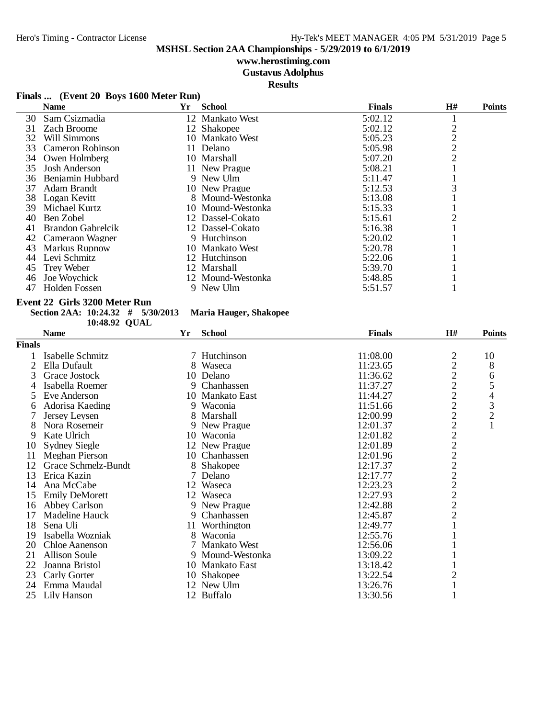## **www.herostiming.com**

**Gustavus Adolphus**

**Results**

### **Finals ... (Event 20 Boys 1600 Meter Run)**

|     | <b>Name</b>              | Yr | <b>School</b>     | <b>Finals</b> | H# | <b>Points</b> |
|-----|--------------------------|----|-------------------|---------------|----|---------------|
| 30  | Sam Csizmadia            |    | 12 Mankato West   | 5:02.12       |    |               |
| 31  | Zach Broome              |    | 12 Shakopee       | 5:02.12       |    |               |
| 32  | Will Simmons             |    | 10 Mankato West   | 5:05.23       |    |               |
| 33  | Cameron Robinson         |    | 11 Delano         | 5:05.98       | 2  |               |
| 34  | Owen Holmberg            |    | 10 Marshall       | 5:07.20       | 2  |               |
| 35  | <b>Josh Anderson</b>     |    | 11 New Prague     | 5:08.21       |    |               |
| 36  | Benjamin Hubbard         |    | 9 New Ulm         | 5:11.47       |    |               |
| 37  | Adam Brandt              |    | 10 New Prague     | 5:12.53       |    |               |
| 38  | Logan Kevitt             |    | 8 Mound-Westonka  | 5:13.08       |    |               |
| 39. | Michael Kurtz            |    | 10 Mound-Westonka | 5:15.33       |    |               |
| 40  | Ben Zobel                |    | 12 Dassel-Cokato  | 5:15.61       |    |               |
| 41  | <b>Brandon Gabrelcik</b> |    | 12 Dassel-Cokato  | 5:16.38       |    |               |
| 42  | Cameraon Wagner          |    | 9 Hutchinson      | 5:20.02       |    |               |
| 43  | <b>Markus Rupnow</b>     |    | 10 Mankato West   | 5:20.78       |    |               |
| 44  | Levi Schmitz             |    | 12 Hutchinson     | 5:22.06       |    |               |
| 45  | Trey Weber               |    | 12 Marshall       | 5:39.70       |    |               |
| 46  | Joe Woychick             |    | 12 Mound-Westonka | 5:48.85       |    |               |
| 47  | Holden Fossen            |    | 9 New Ulm         | 5:51.57       |    |               |

#### **Event 22 Girls 3200 Meter Run**

#### **Section 2AA: 10:24.32 # 5/30/2013 Maria Hauger, Shakopee**

**10:48.92 QUAL** 

|               | <b>Name</b>           | Yr | <b>School</b>    | <b>Finals</b> | H#                                         | <b>Points</b>                                   |
|---------------|-----------------------|----|------------------|---------------|--------------------------------------------|-------------------------------------------------|
| <b>Finals</b> |                       |    |                  |               |                                            |                                                 |
|               | Isabelle Schmitz      |    | 7 Hutchinson     | 11:08.00      | $\overline{c}$                             | 10                                              |
|               | Ella Dufault          | 8  | Waseca           | 11:23.65      | $\overline{c}$                             | 8                                               |
| 3             | Grace Jostock         |    | 10 Delano        | 11:36.62      | $\frac{2}{2}$                              |                                                 |
| 4             | Isabella Roemer       |    | 9 Chanhassen     | 11:37.27      |                                            | 6<br>5                                          |
| 5.            | Eve Anderson          |    | 10 Mankato East  | 11:44.27      |                                            |                                                 |
| 6             | Adorisa Kaeding       |    | 9 Waconia        | 11:51.66      | $\begin{array}{c} 2 \\ 2 \\ 2 \end{array}$ | $\begin{array}{c} 4 \\ 3 \\ 2 \\ 1 \end{array}$ |
|               | Jersey Leysen         |    | 8 Marshall       | 12:00.99      |                                            |                                                 |
| 8             | Nora Rosemeir         |    | 9 New Prague     | 12:01.37      |                                            |                                                 |
| 9             | Kate Ulrich           |    | 10 Waconia       | 12:01.82      | 222222222                                  |                                                 |
| 10            | <b>Sydney Siegle</b>  |    | 12 New Prague    | 12:01.89      |                                            |                                                 |
| 11            | Meghan Pierson        |    | 10 Chanhassen    | 12:01.96      |                                            |                                                 |
| 12            | Grace Schmelz-Bundt   | 8  | Shakopee         | 12:17.37      |                                            |                                                 |
| 13            | Erica Kazin           |    | Delano           | 12:17.77      |                                            |                                                 |
| 14            | Ana McCabe            |    | 12 Waseca        | 12:23.23      |                                            |                                                 |
| 15            | <b>Emily DeMorett</b> |    | 12 Waseca        | 12:27.93      |                                            |                                                 |
| 16            | Abbey Carlson         |    | 9 New Prague     | 12:42.88      |                                            |                                                 |
| 17            | Madeline Hauck        |    | 9 Chanhassen     | 12:45.87      |                                            |                                                 |
| 18            | Sena Uli              | 11 | Worthington      | 12:49.77      |                                            |                                                 |
| 19            | Isabella Wozniak      |    | 8 Waconia        | 12:55.76      |                                            |                                                 |
| 20            | Chloe Aanenson        |    | 7 Mankato West   | 12:56.06      |                                            |                                                 |
| 21            | <b>Allison Soule</b>  |    | 9 Mound-Westonka | 13:09.22      |                                            |                                                 |
| 22            | Joanna Bristol        |    | 10 Mankato East  | 13:18.42      |                                            |                                                 |
| 23            | Carly Gorter          |    | 10 Shakopee      | 13:22.54      | $\overline{2}$                             |                                                 |
| 24            | Emma Maudal           |    | 12 New Ulm       | 13:26.76      |                                            |                                                 |
| 25            | Lily Hanson           |    | 12 Buffalo       | 13:30.56      |                                            |                                                 |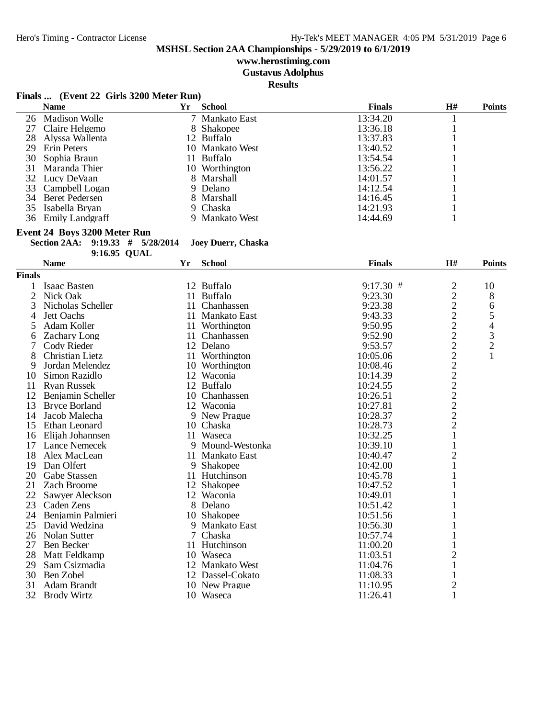**www.herostiming.com**

**Gustavus Adolphus**

**Results**

## **Finals ... (Event 22 Girls 3200 Meter Run)**

|    | <b>Name</b>        | Yr | School          | <b>Finals</b> | H# | <b>Points</b> |
|----|--------------------|----|-----------------|---------------|----|---------------|
|    | 26 Madison Wolle   |    | 7 Mankato East  | 13:34.20      |    |               |
|    | 27 Claire Helgemo  |    | 8 Shakopee      | 13:36.18      |    |               |
| 28 | Alyssa Wallenta    |    | 12 Buffalo      | 13:37.83      |    |               |
|    | 29 Erin Peters     |    | 10 Mankato West | 13:40.52      |    |               |
|    | 30 Sophia Braun    |    | 11 Buffalo      | 13:54.54      |    |               |
|    | 31 Maranda Thier   |    | 10 Worthington  | 13:56.22      |    |               |
|    | 32 Lucy DeVaan     |    | 8 Marshall      | 14:01.57      |    |               |
|    | 33 Campbell Logan  |    | 9 Delano        | 14:12.54      |    |               |
|    | 34 Beret Pedersen  |    | 8 Marshall      | 14:16.45      |    |               |
|    | 35 Isabella Bryan  |    | 9 Chaska        | 14:21.93      |    |               |
|    | 36 Emily Landeraff |    | 9 Mankato West  | 14:44.69      |    |               |

#### **Event 24 Boys 3200 Meter Run**

**Section 2AA: 9:19.33 # 5/28/2014 Joey Duerr, Chaska**

|               | 9:16.95 QUAL         |    |                  |               |                |               |
|---------------|----------------------|----|------------------|---------------|----------------|---------------|
|               | <b>Name</b>          | Yr | <b>School</b>    | <b>Finals</b> | H#             | <b>Points</b> |
| <b>Finals</b> |                      |    |                  |               |                |               |
|               | <b>Isaac Basten</b>  |    | 12 Buffalo       | $9:17.30$ #   | $\overline{c}$ | 10            |
| 2             | Nick Oak             | 11 | <b>Buffalo</b>   | 9:23.30       | $\overline{c}$ | 8             |
| 3             | Nicholas Scheller    | 11 | Chanhassen       | 9:23.38       | $\overline{c}$ | 6             |
| 4             | Jett Oachs           |    | 11 Mankato East  | 9:43.33       |                | 5             |
| 5             | Adam Koller          |    | 11 Worthington   | 9:50.95       |                | 4             |
| 6             | Zachary Long         |    | 11 Chanhassen    | 9:52.90       |                | $\frac{3}{2}$ |
|               | Cody Rieder          |    | 12 Delano        | 9:53.57       |                |               |
| 8             | Christian Lietz      | 11 | Worthington      | 10:05.06      |                | $\mathbf{1}$  |
| 9             | Jordan Melendez      | 10 | Worthington      | 10:08.46      |                |               |
| 10            | Simon Razidlo        | 12 | Waconia          | 10:14.39      |                |               |
| 11            | <b>Ryan Russek</b>   |    | 12 Buffalo       | 10:24.55      |                |               |
| 12            | Benjamin Scheller    |    | 10 Chanhassen    | 10:26.51      |                |               |
| 13            | <b>Bryce Borland</b> |    | 12 Waconia       | 10:27.81      | 22222222222    |               |
| 14            | Jacob Malecha        |    | 9 New Prague     | 10:28.37      |                |               |
| 15            | Ethan Leonard        |    | 10 Chaska        | 10:28.73      |                |               |
| 16            | Elijah Johannsen     |    | 11 Waseca        | 10:32.25      | $\mathbf{1}$   |               |
| 17            | <b>Lance Nemecek</b> |    | 9 Mound-Westonka | 10:39.10      | $\mathbf{1}$   |               |
| 18            | Alex MacLean         |    | 11 Mankato East  | 10:40.47      | $\overline{2}$ |               |
| 19            | Dan Olfert           | 9  | Shakopee         | 10:42.00      |                |               |
| 20            | Gabe Stassen         | 11 | Hutchinson       | 10:45.78      |                |               |
| 21            | Zach Broome          |    | 12 Shakopee      | 10:47.52      |                |               |
| 22            | Sawyer Aleckson      |    | 12 Waconia       | 10:49.01      |                |               |
| 23            | Caden Zens           |    | 8 Delano         | 10:51.42      |                |               |
| 24            | Benjamin Palmieri    |    | 10 Shakopee      | 10:51.56      |                |               |
| 25            | David Wedzina        |    | 9 Mankato East   | 10:56.30      |                |               |
| 26            | Nolan Sutter         |    | 7 Chaska         | 10:57.74      | 1              |               |
| 27            | <b>Ben Becker</b>    | 11 | Hutchinson       | 11:00.20      |                |               |
| 28            | Matt Feldkamp        |    | 10 Waseca        | 11:03.51      | $\overline{2}$ |               |
| 29            | Sam Csizmadia        |    | 12 Mankato West  | 11:04.76      |                |               |
| 30            | Ben Zobel            |    | 12 Dassel-Cokato | 11:08.33      |                |               |
| 31            | <b>Adam Brandt</b>   |    | 10 New Prague    | 11:10.95      | $\overline{c}$ |               |
| 32            | <b>Brody Wirtz</b>   |    | 10 Waseca        | 11:26.41      | $\mathbf{1}$   |               |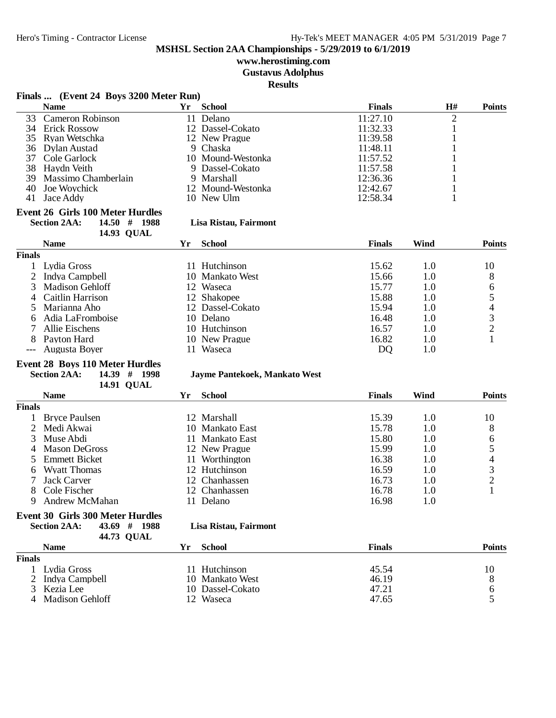**www.herostiming.com**

**Gustavus Adolphus**

**Results**

|                | Finals  (Event 24 Boys 3200 Meter Run)            |    |                               |                |                |               |
|----------------|---------------------------------------------------|----|-------------------------------|----------------|----------------|---------------|
|                | <b>Name</b>                                       | Yr | <b>School</b>                 | <b>Finals</b>  | H#             | <b>Points</b> |
| 33             | Cameron Robinson                                  |    | 11 Delano                     | 11:27.10       | $\overline{2}$ |               |
|                | 34 Erick Rossow                                   |    | 12 Dassel-Cokato              | 11:32.33       | $\mathbf{1}$   |               |
|                | 35 Ryan Wetschka                                  |    | 12 New Prague                 | 11:39.58       | 1              |               |
| 36             | <b>Dylan Austad</b>                               |    | 9 Chaska                      | 11:48.11       |                |               |
| 37             | Cole Garlock                                      |    | 10 Mound-Westonka             | 11:57.52       | 1              |               |
| 38             | Haydn Veith                                       |    | 9 Dassel-Cokato               | 11:57.58       | 1              |               |
| 39             | Massimo Chamberlain                               |    | 9 Marshall                    | 12:36.36       | 1              |               |
| 40             | Joe Woychick                                      |    | 12 Mound-Westonka             | 12:42.67       | $\mathbf{1}$   |               |
| 41             | Jace Addy                                         |    | 10 New Ulm                    | 12:58.34       | $\mathbf{1}$   |               |
|                | Event 26 Girls 100 Meter Hurdles                  |    |                               |                |                |               |
|                | <b>Section 2AA:</b><br>14.50#<br>1988             |    | Lisa Ristau, Fairmont         |                |                |               |
|                | 14.93 QUAL                                        |    |                               |                |                |               |
|                | <b>Name</b>                                       | Yr | <b>School</b>                 | <b>Finals</b>  | Wind           | <b>Points</b> |
| <b>Finals</b>  |                                                   |    |                               |                |                |               |
|                | 1 Lydia Gross                                     |    | 11 Hutchinson                 | 15.62          | 1.0            | 10            |
| $\overline{2}$ | Indya Campbell                                    |    | 10 Mankato West               | 15.66          | 1.0            | 8             |
| 3              | <b>Madison Gehloff</b>                            |    | 12 Waseca                     | 15.77          | 1.0            |               |
| 4              | Caitlin Harrison                                  |    | 12 Shakopee                   | 15.88          | 1.0            |               |
| 5              | Marianna Aho                                      |    | 12 Dassel-Cokato              | 15.94          | 1.0            |               |
| 6              | Adia LaFromboise                                  |    | 10 Delano                     | 16.48          | 1.0            | 654321        |
| 7              | Allie Eischens                                    |    | 10 Hutchinson                 | 16.57          | 1.0            |               |
| 8              | Payton Hard                                       |    | 10 New Prague                 | 16.82          | 1.0            |               |
| $---$          | Augusta Boyer                                     |    | 11 Waseca                     | D <sub>Q</sub> | 1.0            |               |
|                | <b>Event 28 Boys 110 Meter Hurdles</b>            |    |                               |                |                |               |
|                | <b>Section 2AA:</b><br>14.39 # 1998               |    | Jayme Pantekoek, Mankato West |                |                |               |
|                | <b>14.91 QUAL</b>                                 |    |                               |                |                |               |
|                | <b>Name</b>                                       | Yr | <b>School</b>                 | <b>Finals</b>  | Wind           | <b>Points</b> |
| <b>Finals</b>  |                                                   |    |                               |                |                |               |
|                |                                                   |    |                               |                |                |               |
| 1              | <b>Bryce Paulsen</b>                              |    | 12 Marshall                   | 15.39          | 1.0            | 10            |
| $\overline{2}$ | Medi Akwai                                        |    | 10 Mankato East               | 15.78          | 1.0            | 8             |
| 3              | Muse Abdi                                         |    | 11 Mankato East               | 15.80          | 1.0            |               |
| 4              | <b>Mason DeGross</b>                              |    | 12 New Prague                 | 15.99          | 1.0            |               |
| 5              | <b>Emmett Bicket</b>                              |    | 11 Worthington                | 16.38          | 1.0            | 65432         |
| 6              | <b>Wyatt Thomas</b>                               |    | 12 Hutchinson                 | 16.59          | 1.0            |               |
| 7              | Jack Carver                                       |    | 12 Chanhassen                 | 16.73          | 1.0            |               |
| 8              | Cole Fischer                                      |    | 12 Chanhassen                 | 16.78          | 1.0            | $\mathbf{1}$  |
|                | 9 Andrew McMahan                                  |    | 11 Delano                     | 16.98          | 1.0            |               |
|                | <b>Event 30 Girls 300 Meter Hurdles</b>           |    |                               |                |                |               |
|                | <b>Section 2AA:</b><br>43.69 # 1988<br>44.73 QUAL |    | Lisa Ristau, Fairmont         |                |                |               |
|                | <b>Name</b>                                       | Yr | <b>School</b>                 | <b>Finals</b>  |                | <b>Points</b> |
| <b>Finals</b>  |                                                   |    |                               |                |                |               |
|                | 1 Lydia Gross                                     |    | 11 Hutchinson                 | 45.54          |                | 10            |
| $\overline{2}$ | Indya Campbell                                    |    | 10 Mankato West               | 46.19          |                | 8             |
| 3              | Kezia Lee                                         |    | 10 Dassel-Cokato              | 47.21          |                | 6             |
| 4              | <b>Madison Gehloff</b>                            |    | 12 Waseca                     | 47.65          |                | 5             |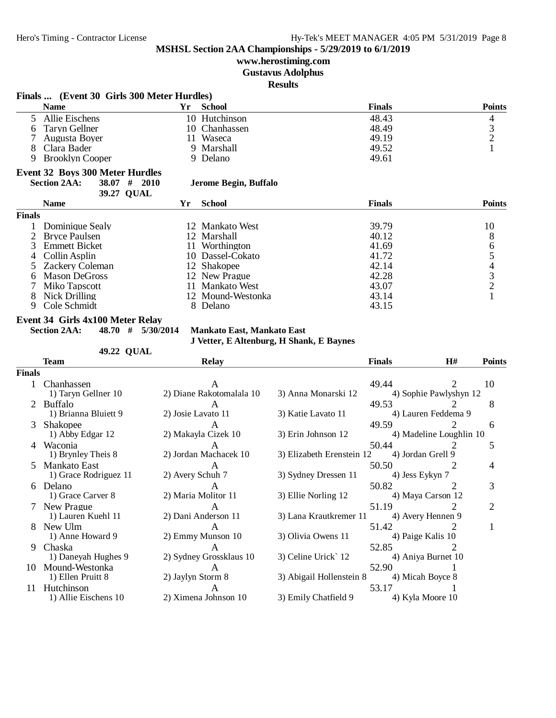1) Grace Rodriguez 11

#### **MSHSL Section 2AA Championships - 5/29/2019 to 6/1/2019**

## **www.herostiming.com**

#### **Gustavus Adolphus**

**Results**

|               | Finals  (Event 30 Girls 300 Meter Hurdles) |                       |                                   |                                          |               |                        |                                            |
|---------------|--------------------------------------------|-----------------------|-----------------------------------|------------------------------------------|---------------|------------------------|--------------------------------------------|
|               | <b>Name</b>                                | Yr                    | <b>School</b>                     |                                          | <b>Finals</b> |                        | <b>Points</b>                              |
| 5.            | Allie Eischens                             |                       | 10 Hutchinson                     |                                          | 48.43         |                        | 4                                          |
| 6             | <b>Taryn Gellner</b>                       |                       | 10 Chanhassen                     |                                          | 48.49         |                        |                                            |
|               | Augusta Boyer                              | 11                    | Waseca                            |                                          | 49.19         |                        | $\begin{array}{c} 3 \\ 2 \\ 1 \end{array}$ |
| 8             | Clara Bader                                |                       | 9 Marshall                        |                                          | 49.52         |                        |                                            |
| 9             | <b>Brooklyn Cooper</b>                     |                       | 9 Delano                          |                                          | 49.61         |                        |                                            |
|               | <b>Event 32 Boys 300 Meter Hurdles</b>     |                       |                                   |                                          |               |                        |                                            |
|               | <b>Section 2AA:</b><br>38.07               | #<br><b>2010</b>      | Jerome Begin, Buffalo             |                                          |               |                        |                                            |
|               |                                            | 39.27 QUAL            |                                   |                                          |               |                        |                                            |
|               | <b>Name</b>                                | Yr                    | <b>School</b>                     |                                          | <b>Finals</b> |                        | <b>Points</b>                              |
| <b>Finals</b> |                                            |                       |                                   |                                          |               |                        |                                            |
|               | Dominique Sealy                            |                       | 12 Mankato West                   |                                          | 39.79         |                        | 10                                         |
|               | <b>Bryce Paulsen</b>                       |                       | 12 Marshall                       |                                          | 40.12         |                        | 8                                          |
| 3             | <b>Emmett Bicket</b>                       | 11                    | Worthington                       |                                          | 41.69         |                        |                                            |
| 4             | Collin Asplin                              |                       | 10 Dassel-Cokato                  |                                          | 41.72         |                        | 654321                                     |
| 5             | Zackery Coleman                            |                       | 12 Shakopee                       |                                          | 42.14         |                        |                                            |
| 6             | <b>Mason DeGross</b>                       |                       | 12 New Prague                     |                                          | 42.28         |                        |                                            |
|               | Miko Tapscott                              | 11                    | <b>Mankato West</b>               |                                          | 43.07         |                        |                                            |
| 8             | Nick Drilling                              |                       | 12 Mound-Westonka                 |                                          | 43.14         |                        |                                            |
| 9             | Cole Schmidt                               |                       | 8 Delano                          |                                          | 43.15         |                        |                                            |
|               | <b>Event 34 Girls 4x100 Meter Relay</b>    |                       |                                   |                                          |               |                        |                                            |
|               | <b>Section 2AA:</b>                        | $48.70$ # $5/30/2014$ | <b>Mankato East, Mankato East</b> |                                          |               |                        |                                            |
|               |                                            |                       |                                   | J Vetter, E Altenburg, H Shank, E Baynes |               |                        |                                            |
|               |                                            | 49.22 QUAL            |                                   |                                          |               |                        |                                            |
|               | <b>Team</b>                                |                       | <b>Relay</b>                      |                                          | <b>Finals</b> | H#                     | <b>Points</b>                              |
| <b>Finals</b> |                                            |                       |                                   |                                          |               |                        |                                            |
| $\mathbf{1}$  | Chanhassen                                 |                       | A                                 |                                          | 49.44         | $\overline{2}$         | 10                                         |
|               | 1) Taryn Gellner 10                        |                       | 2) Diane Rakotomalala 10          | 3) Anna Monarski 12                      |               | 4) Sophie Pawlyshyn 12 |                                            |
|               | <b>Buffalo</b>                             |                       | A                                 |                                          | 49.53         |                        | 8                                          |
|               | 1) Brianna Bluiett 9                       | 2) Josie Lavato 11    |                                   | 3) Katie Lavato 11                       |               | 4) Lauren Feddema 9    |                                            |
| 3             | Shakopee                                   |                       | A                                 |                                          | 49.59         | $\overline{2}$         | 6                                          |

1) Abby Edgar 12 2) Makayla Cizek 10 3) Erin Johnson 12 4) Madeline Loughlin 10 4 Waconia 12 12 15 1) Brynley Theis 8 2) Jordan Machacek 10 3) Elizabeth Erenstein 12 4) Jordan Grell 9

5 Mankato East A<br>
1) Grace Rodriguez 11 2) Avery Schuh 7 3) Sydney Dressen 11 4) Jess Eykyn 7 4

6 Delano A 50.82 2 3 1) Grace Carver 8 2) Maria Molitor 11 3) Ellie Norling 12 4) Maya Carson 12 7 New Prague A 51.19 2 2

8 New Ulm A 51.42 2 1 1) Anne Howard 9 2) Emmy Munson 10 3) Olivia Owens 11 4) Paige Kalis 10 9 Chaska 2 A 52.85 2 1) Daneyah Hughes 9 2) Sydney Grossklaus 10 3) Celine Urick` 12 4) Aniya Burnet 10

10 Mound-Westonka <br>
1) Ellen Pruitt 8 <br>
2) Jaylyn Storm 8 <br>
3) Abigail Hollenstein 8 <br>
4) Micah Boyce 8

11 Hutchinson<br>
11 Hutchinson 10 11 Allie Eischens 10 2) Ximena Johnson 10 3) Emily Chatfield 9 4) Kyla Moore 10

2) Ximena Johnson 10

3) Lana Krautkremer 11

3) Abigail Hollenstein 8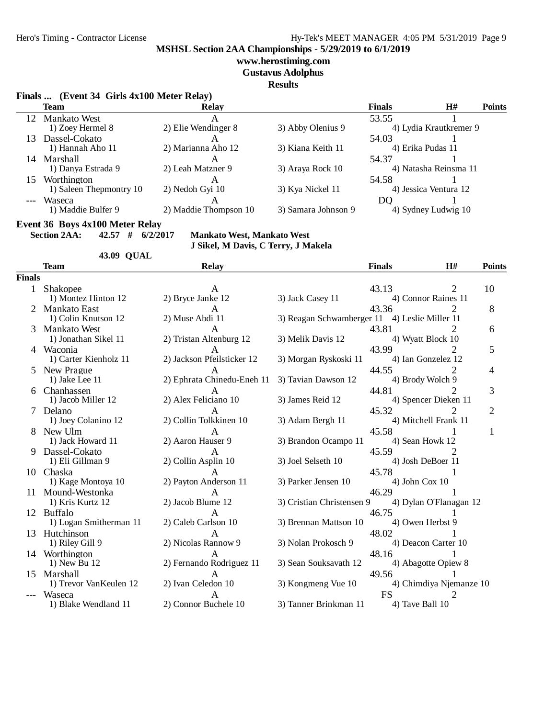#### Hero's Timing - Contractor License Hy-Tek's MEET MANAGER 4:05 PM 5/31/2019 Page 9

**MSHSL Section 2AA Championships - 5/29/2019 to 6/1/2019**

#### **www.herostiming.com**

**Gustavus Adolphus**

**Results**

#### **Finals ... (Event 34 Girls 4x100 Meter Relay)**

|    | Team                    | <b>Relay</b>          |                     | <b>Finals</b> | H#                     | <b>Points</b> |
|----|-------------------------|-----------------------|---------------------|---------------|------------------------|---------------|
|    | 12 Mankato West         |                       |                     | 53.55         |                        |               |
|    | 1) Zoey Hermel 8        | 2) Elie Wendinger 8   | 3) Abby Olenius 9   |               | 4) Lydia Krautkremer 9 |               |
| 13 | Dassel-Cokato           |                       |                     | 54.03         |                        |               |
|    | 1) Hannah Aho 11        | 2) Marianna Aho 12    | 3) Kiana Keith 11   |               | 4) Erika Pudas 11      |               |
| 14 | Marshall                |                       |                     | 54.37         |                        |               |
|    | 1) Danya Estrada 9      | 2) Leah Matzner 9     | 3) Araya Rock 10    |               | 4) Natasha Reinsma 11  |               |
| 15 | Worthington             |                       |                     | 54.58         |                        |               |
|    | 1) Saleen Thepmontry 10 | 2) Nedoh Gyi 10       | 3) Kya Nickel 11    |               | 4) Jessica Ventura 12  |               |
|    | Waseca                  | $\mathsf{A}$          |                     | DO            |                        |               |
|    | 1) Maddie Bulfer 9      | 2) Maddie Thompson 10 | 3) Samara Johnson 9 |               | 4) Sydney Ludwig 10    |               |
|    |                         |                       |                     |               |                        |               |

**Event 36 Boys 4x100 Meter Relay**<br>Section 2AA: 42.57 # 6/2/20

**Section 2AA: 42.57 # 6/2/2017 Mankato West, Mankato West**

#### **43.09 QUAL Team Relay Finals H# Points Finals** 1 Shakopee A 43.13 2 10 1) Montez Hinton 12 2) Bryce Janke 12 3) Jack Casey 11 4) Connor Raines 11 2 Mankato East A 43.36 2 8<br>1) Colin Knutson 12 2) Muse Abdi 11 3) Reagan Schwamberger 11 4) Leslie Miller 11 3) Reagan Schwamberger 11 3 Mankato West 11 1 2) Tristan Altenburg 12 3) Melik Davis 12 43.81 2 43.81 2 6<br>1) Jonathan Sikel 11 2) Tristan Altenburg 12 3) Melik Davis 12 4) Wyatt Block 10 2) Tristan Altenburg 12 4 Waconia 1 A 43.99 2 5 1) Carter Kienholz 11 2) Jackson Pfeilsticker 12 3) Morgan Ryskoski 11 4) Ian Gonzelez 12 5 New Prague 1 1 1 2) Ephrata Chinedu-Eneh 11 3) Tavian Dawson 12 44.55 2 4 2) Ephrata Chinedu-Eneh 11 6 Chanhassen **A** 44.81 2 3<br>1) Jacob Miller 12 2) Alex Feliciano 10 3) James Reid 12 4) Spencer Dieken 11 4) Spencer Dieken 11 7 Delano A 45.32 2 2 1) Joey Colanino 12 2) Collin Tolkkinen 10 3) Adam Bergh 11 4) Mitchell Frank 11 8 New Ulm A 45.58 1 1 1) Jack Howard 11 2) Aaron Hauser 9 3) Brandon Ocampo 11 4) Sean Howk 12 9 Dassel-Cokato A 45.59 2 1) Eli Gillman 9 2) Collin Asplin 10 3) Joel Selseth 10 4) Josh DeBoer 11 10 Chaska 1 A 45.78 1 1) Kage Montoya 10 2) Payton Anderson 11 3) Parker Jensen 10 4) John Cox 10 11 Mound-Westonka A<br>
13 Mound-Westonka A<br>
13 Mound-Westonka A<br>
13 Mound-Westonka A<br>
14 Mound-Westonka A<br>
14 Mound-Westonka A<br>
14 Mound-Westonka A<br>
14 Mound-Westonka A<br>
14 Mound-Westonka A<br>
14 Mound-Westonka A<br>
14 Mound-Wes 3) Cristian Christensen 9 12 Buffalo **A** 46.75 1 1) Logan Smitherman 11 2) Caleb Carlson 10 3) Brennan Mattson 10 4) Owen Herbst 9 13 Hutchinson 1<br>
13 Hutchinson 1<br>
19 1) Riley Gill 9 2) Nicolas Rannow 9 3) Nolan Prokosch 9 48.02 1<br>
19 4) Deacon Carter 10 2) Nicolas Rannow 9 14 Worthington 1<br>19 19 12 19 12 2) Fernando Rodriguez 11 3) Sean Souksavath 12 48.16 1<br>19 19 19:00 18 19:00 19:00 19:00 19:00 19:00 19:00 19:00 19:00 19:00 19:00 19:00 19:00 19:00 19:00 19:00 19:00 2) Fernando Rodriguez 11 15 Marshall A<br>
1) Trevor VanKeulen 12 2) Ivan Celedon 10 3) Kongmeng Vue 10 4) Chimdiya Njer 4) Chimdiya Njemanze 10 -- Waseca A FS 2 1) Blake Wendland 11 2) Connor Buchele 10 3) Tanner Brinkman 11 4) Tave Ball 10

**J Sikel, M Davis, C Terry, J Makela**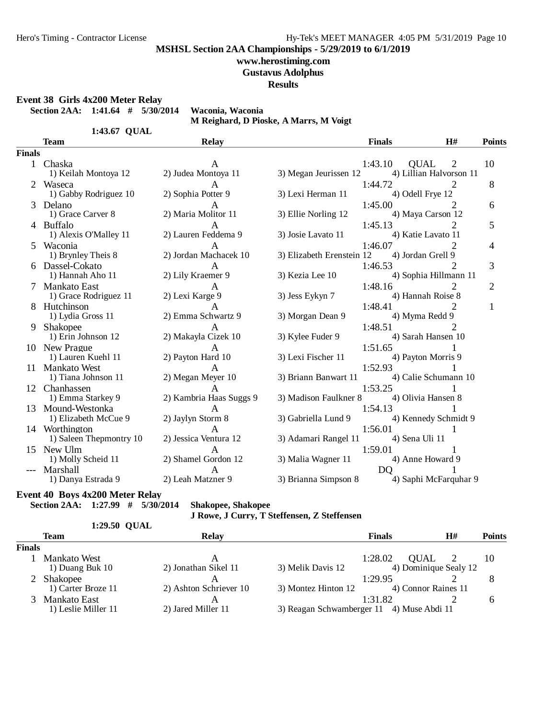### **www.herostiming.com**

**Gustavus Adolphus**

**Results**

**Event 38 Girls 4x200 Meter Relay**

**Section 2AA: 1:41.64 # 5/30/2014 Waconia, Waconia**

**M Reighard, D Pioske, A Marrs, M Voigt**

1:43.67 QUAL

|               | <b>Team</b>             | <b>Relay</b>            |                           | <b>Finals</b>  | H#                          | <b>Points</b>  |
|---------------|-------------------------|-------------------------|---------------------------|----------------|-----------------------------|----------------|
| <b>Finals</b> |                         |                         |                           |                |                             |                |
|               | 1 Chaska                | A                       |                           | 1:43.10        | <b>OUAL</b><br>2            | 10             |
|               | 1) Keilah Montoya 12    | 2) Judea Montoya 11     | 3) Megan Jeurissen 12     |                | 4) Lillian Halvorson 11     |                |
|               | Waseca                  | A                       |                           | 1:44.72        | 2                           | 8              |
|               | 1) Gabby Rodriguez 10   | 2) Sophia Potter 9      | 3) Lexi Herman 11         |                | 4) Odell Frye 12            |                |
| 3             | Delano                  | A                       |                           | 1:45.00        | 2                           | 6              |
|               | 1) Grace Carver 8       | 2) Maria Molitor 11     | 3) Ellie Norling 12       |                | 4) Maya Carson 12           |                |
|               | 4 Buffalo               | A                       |                           | 1:45.13        | 2                           | 5              |
|               | 1) Alexis O'Malley 11   | 2) Lauren Feddema 9     | 3) Josie Lavato 11        |                | 4) Katie Lavato 11          |                |
| 5             | Waconia                 | A                       |                           | 1:46.07        |                             | 4              |
|               | 1) Brynley Theis 8      | 2) Jordan Machacek 10   | 3) Elizabeth Erenstein 12 |                | 4) Jordan Grell 9           |                |
| 6.            | Dassel-Cokato           | $\mathsf{A}$            |                           | 1:46.53        |                             | 3              |
|               | 1) Hannah Aho 11        | 2) Lily Kraemer 9       | 3) Kezia Lee 10           |                | 4) Sophia Hillmann 11       |                |
|               | <b>Mankato East</b>     | A                       |                           | 1:48.16        |                             | $\overline{2}$ |
|               | 1) Grace Rodriguez 11   | 2) Lexi Karge 9         | 3) Jess Eykyn 7           |                | 4) Hannah Roise 8           |                |
|               | Hutchinson              | A                       |                           | 1:48.41        | 2                           | 1              |
|               | 1) Lydia Gross 11       | 2) Emma Schwartz 9      | 3) Morgan Dean 9          |                | 4) Myma Redd 9              |                |
| 9             | Shakopee                | $\mathsf{A}$            |                           | 1:48.51        | $\mathcal{D}_{\mathcal{A}}$ |                |
|               | 1) Erin Johnson 12      | 2) Makayla Cizek 10     | 3) Kylee Fuder 9          |                | 4) Sarah Hansen 10          |                |
|               | 10 New Prague           | A                       |                           | 1:51.65        |                             |                |
|               | 1) Lauren Kuehl 11      | 2) Payton Hard 10       | 3) Lexi Fischer 11        |                | 4) Payton Morris 9          |                |
|               | 11 Mankato West         | $\mathsf{A}$            |                           | 1:52.93        |                             |                |
|               | 1) Tiana Johnson 11     | 2) Megan Meyer 10       | 3) Briann Banwart 11      |                | 4) Calie Schumann 10        |                |
| 12            | Chanhassen              | A                       |                           | 1:53.25        |                             |                |
|               | 1) Emma Starkey 9       | 2) Kambria Haas Suggs 9 | 3) Madison Faulkner 8     |                | 4) Olivia Hansen 8          |                |
| 13            | Mound-Westonka          | $\mathsf{A}$            |                           | 1:54.13        |                             |                |
|               | 1) Elizabeth McCue 9    | 2) Jaylyn Storm 8       | 3) Gabriella Lund 9       |                | 4) Kennedy Schmidt 9        |                |
|               | 14 Worthington          | $\mathsf{A}$            |                           | 1:56.01        |                             |                |
|               | 1) Saleen Thepmontry 10 | 2) Jessica Ventura 12   | 3) Adamari Rangel 11      |                | 4) Sena Uli 11              |                |
| 15            | New Ulm                 | $\mathsf{A}$            |                           | 1:59.01        |                             |                |
|               | 1) Molly Scheid 11      | 2) Shamel Gordon 12     | 3) Malia Wagner 11        |                | 4) Anne Howard 9            |                |
|               | Marshall                | A                       |                           | D <sub>O</sub> |                             |                |
|               | 1) Danya Estrada 9      | 2) Leah Matzner 9       | 3) Brianna Simpson 8      |                | 4) Saphi McFarquhar 9       |                |

## **Event 40 Boys 4x200 Meter Relay**

**Section 2AA: 1:27.99 # 5/30/2014 Shakopee, Shakopee**

```
J Rowe, J Curry, T Steffensen, Z Steffensen
```

|               | 1:29.50 QUAL        |                        |                                           |               |                       |               |
|---------------|---------------------|------------------------|-------------------------------------------|---------------|-----------------------|---------------|
|               | <b>Team</b>         | <b>Relay</b>           |                                           | <b>Finals</b> | H#                    | <b>Points</b> |
| <b>Finals</b> |                     |                        |                                           |               |                       |               |
|               | <b>Mankato West</b> | А                      |                                           | 1:28.02       | <b>OUAL</b>           | 10            |
|               | 1) Duang Buk $10$   | 2) Jonathan Sikel 11   | 3) Melik Davis 12                         |               | 4) Dominique Sealy 12 |               |
|               | Shakopee            |                        |                                           | 1:29.95       |                       | 8             |
|               | 1) Carter Broze 11  | 2) Ashton Schriever 10 | 3) Montez Hinton 12                       |               | 4) Connor Raines 11   |               |
|               | Mankato East        |                        |                                           | 1:31.82       |                       | h             |
|               | 1) Leslie Miller 11 | 2) Jared Miller 11     | 3) Reagan Schwamberger 11 4) Muse Abdi 11 |               |                       |               |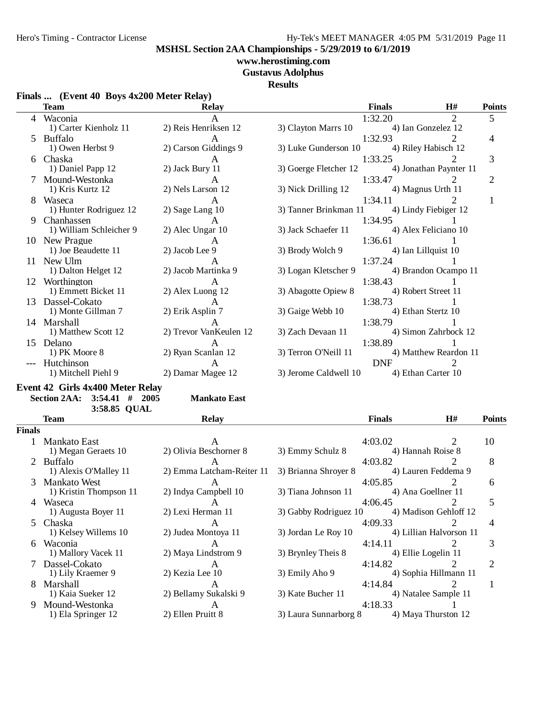# **www.herostiming.com**

**Gustavus Adolphus**

## **Results**

| Finals  (Event 40 Boys 4x200 Meter Relay) |  |
|-------------------------------------------|--|
|-------------------------------------------|--|

| 1:32.20<br>$\overline{2}$<br>5<br>4 Waconia<br>A<br>2) Reis Henriksen 12<br>1) Carter Kienholz 11<br>3) Clayton Marrs 10<br>4) Ian Gonzelez 12<br>1:32.93<br>2<br>Buffalo<br>4<br>A<br>2) Carson Giddings 9<br>1) Owen Herbst 9<br>3) Luke Gunderson 10<br>4) Riley Habisch 12<br>3<br>1:33.25<br>6 Chaska<br>A<br>3) Goerge Fletcher 12<br>1) Daniel Papp 12<br>2) Jack Bury 11<br>4) Jonathan Paynter 11<br>$\mathbf{2}$<br>Mound-Westonka<br>1:33.47<br>A<br>1) Kris Kurtz 12<br>2) Nels Larson 12<br>3) Nick Drilling 12<br>4) Magnus Urth 11<br>1:34.11<br>2<br>1<br>8 Waseca<br>A<br>3) Tanner Brinkman 11<br>1) Hunter Rodriguez 12<br>2) Sage Lang 10<br>4) Lindy Fiebiger 12<br>1:34.95<br>Chanhassen<br>9<br>A<br>1) William Schleicher 9<br>2) Alec Ungar 10<br>3) Jack Schaefer 11<br>4) Alex Feliciano 10<br>1:36.61<br>10 New Prague<br>А<br>1) Joe Beaudette 11<br>2) Jacob Lee 9<br>3) Brody Wolch 9<br>4) Ian Lillquist 10<br>1:37.24<br>11 New Ulm<br>A<br>3) Logan Kletscher 9<br>1) Dalton Helget 12<br>2) Jacob Martinka 9<br>4) Brandon Ocampo 11<br>1:38.43<br>12 Worthington<br>A<br>1) Emmett Bicket 11<br>2) Alex Luong 12<br>3) Abagotte Opiew 8<br>4) Robert Street 11<br>1:38.73<br>13 Dassel-Cokato<br>A<br>2) Erik Asplin 7<br>3) Gaige Webb 10<br>4) Ethan Stertz 10<br>1) Monte Gillman 7<br>1:38.79<br>14 Marshall<br>A<br>2) Trevor VanKeulen 12<br>1) Matthew Scott 12<br>3) Zach Devaan 11<br>4) Simon Zahrbock 12<br>1:38.89<br>15 Delano<br>A<br>1) PK Moore 8<br>2) Ryan Scanlan 12<br>3) Terron O'Neill 11<br>4) Matthew Reardon 11<br><b>DNF</b><br>Hutchinson<br>$\mathcal{D}_{\cdot}$<br>A<br>2) Damar Magee 12<br>1) Mitchell Piehl 9<br>3) Jerome Caldwell 10<br>4) Ethan Carter 10<br>Event 42 Girls 4x400 Meter Relay<br><b>Section 2AA:</b><br>$3:54.41$ # 2005<br><b>Mankato East</b><br>3:58.85 QUAL<br><b>Finals</b><br>H#<br><b>Points</b><br><b>Team</b><br>Relay<br>Finals<br>4:03.02<br>2<br>10<br>1 Mankato East<br>A<br>1) Megan Geraets 10<br>2) Olivia Beschorner 8<br>3) Emmy Schulz 8<br>4) Hannah Roise 8<br>8<br>2 Buffalo<br>4:03.82<br>$\mathsf{A}$<br>1) Alexis O'Malley 11<br>2) Emma Latcham-Reiter 11<br>3) Brianna Shroyer 8<br>4) Lauren Feddema 9<br>3 Mankato West<br>4:05.85<br>2<br>6<br>A<br>1) Kristin Thompson 11<br>2) Indya Campbell 10<br>3) Tiana Johnson 11<br>4) Ana Goellner 11<br>4:06.45<br>5<br>4 Waseca<br>$\mathsf{A}$<br>3) Gabby Rodriguez 10<br>1) Augusta Boyer 11<br>2) Lexi Herman 11<br>4) Madison Gehloff 12<br>5 Chaska<br>2<br>4:09.33<br>4<br>A<br>1) Kelsey Willems 10<br>3) Jordan Le Roy 10<br>2) Judea Montoya 11<br>4) Lillian Halvorson 11<br>3<br>6 Waconia<br>4:14.11<br>2<br>A<br>1) Mallory Vacek 11<br>2) Maya Lindstrom 9<br>3) Brynley Theis 8<br>4) Ellie Logelin 11<br>7 Dassel-Cokato<br>4:14.82<br>$\overline{2}$<br>2<br>A<br>2) Kezia Lee 10<br>3) Emily Aho 9<br>1) Lily Kraemer 9<br>4) Sophia Hillmann 11<br>8 Marshall<br>4:14.84<br>2<br>$\mathbf{1}$<br>A<br>2) Bellamy Sukalski 9<br>3) Kate Bucher 11<br>1) Kaia Sueker 12<br>4) Natalee Sample 11<br>9 Mound-Westonka<br>4:18.33<br>A<br>2) Ellen Pruitt 8<br>3) Laura Sunnarborg 8<br>4) Maya Thurston 12<br>1) Ela Springer 12 | $\mathbf{r}$ mais $\mathbf{m}$ (EVCIR TO DOYS TAZOU INCRE INCRES)<br><b>Team</b> | Relay | <b>Finals</b> | H# | <b>Points</b> |
|--------------------------------------------------------------------------------------------------------------------------------------------------------------------------------------------------------------------------------------------------------------------------------------------------------------------------------------------------------------------------------------------------------------------------------------------------------------------------------------------------------------------------------------------------------------------------------------------------------------------------------------------------------------------------------------------------------------------------------------------------------------------------------------------------------------------------------------------------------------------------------------------------------------------------------------------------------------------------------------------------------------------------------------------------------------------------------------------------------------------------------------------------------------------------------------------------------------------------------------------------------------------------------------------------------------------------------------------------------------------------------------------------------------------------------------------------------------------------------------------------------------------------------------------------------------------------------------------------------------------------------------------------------------------------------------------------------------------------------------------------------------------------------------------------------------------------------------------------------------------------------------------------------------------------------------------------------------------------------------------------------------------------------------------------------------------------------------------------------------------------------------------------------------------------------------------------------------------------------------------------------------------------------------------------------------------------------------------------------------------------------------------------------------------------------------------------------------------------------------------------------------------------------------------------------------------------------------------------------------------------------------------------------------------------------------------------------------------------------------------------------------------------------------------------------------------------------------------------------------------------------------------------------------------------------------------------------------------------------------------------------------------------------------------------------------------------------------------------------------------------------------------------------------------------------------------------------------------|----------------------------------------------------------------------------------|-------|---------------|----|---------------|
|                                                                                                                                                                                                                                                                                                                                                                                                                                                                                                                                                                                                                                                                                                                                                                                                                                                                                                                                                                                                                                                                                                                                                                                                                                                                                                                                                                                                                                                                                                                                                                                                                                                                                                                                                                                                                                                                                                                                                                                                                                                                                                                                                                                                                                                                                                                                                                                                                                                                                                                                                                                                                                                                                                                                                                                                                                                                                                                                                                                                                                                                                                                                                                                                                    |                                                                                  |       |               |    |               |
|                                                                                                                                                                                                                                                                                                                                                                                                                                                                                                                                                                                                                                                                                                                                                                                                                                                                                                                                                                                                                                                                                                                                                                                                                                                                                                                                                                                                                                                                                                                                                                                                                                                                                                                                                                                                                                                                                                                                                                                                                                                                                                                                                                                                                                                                                                                                                                                                                                                                                                                                                                                                                                                                                                                                                                                                                                                                                                                                                                                                                                                                                                                                                                                                                    |                                                                                  |       |               |    |               |
|                                                                                                                                                                                                                                                                                                                                                                                                                                                                                                                                                                                                                                                                                                                                                                                                                                                                                                                                                                                                                                                                                                                                                                                                                                                                                                                                                                                                                                                                                                                                                                                                                                                                                                                                                                                                                                                                                                                                                                                                                                                                                                                                                                                                                                                                                                                                                                                                                                                                                                                                                                                                                                                                                                                                                                                                                                                                                                                                                                                                                                                                                                                                                                                                                    |                                                                                  |       |               |    |               |
|                                                                                                                                                                                                                                                                                                                                                                                                                                                                                                                                                                                                                                                                                                                                                                                                                                                                                                                                                                                                                                                                                                                                                                                                                                                                                                                                                                                                                                                                                                                                                                                                                                                                                                                                                                                                                                                                                                                                                                                                                                                                                                                                                                                                                                                                                                                                                                                                                                                                                                                                                                                                                                                                                                                                                                                                                                                                                                                                                                                                                                                                                                                                                                                                                    |                                                                                  |       |               |    |               |
|                                                                                                                                                                                                                                                                                                                                                                                                                                                                                                                                                                                                                                                                                                                                                                                                                                                                                                                                                                                                                                                                                                                                                                                                                                                                                                                                                                                                                                                                                                                                                                                                                                                                                                                                                                                                                                                                                                                                                                                                                                                                                                                                                                                                                                                                                                                                                                                                                                                                                                                                                                                                                                                                                                                                                                                                                                                                                                                                                                                                                                                                                                                                                                                                                    |                                                                                  |       |               |    |               |
|                                                                                                                                                                                                                                                                                                                                                                                                                                                                                                                                                                                                                                                                                                                                                                                                                                                                                                                                                                                                                                                                                                                                                                                                                                                                                                                                                                                                                                                                                                                                                                                                                                                                                                                                                                                                                                                                                                                                                                                                                                                                                                                                                                                                                                                                                                                                                                                                                                                                                                                                                                                                                                                                                                                                                                                                                                                                                                                                                                                                                                                                                                                                                                                                                    |                                                                                  |       |               |    |               |
|                                                                                                                                                                                                                                                                                                                                                                                                                                                                                                                                                                                                                                                                                                                                                                                                                                                                                                                                                                                                                                                                                                                                                                                                                                                                                                                                                                                                                                                                                                                                                                                                                                                                                                                                                                                                                                                                                                                                                                                                                                                                                                                                                                                                                                                                                                                                                                                                                                                                                                                                                                                                                                                                                                                                                                                                                                                                                                                                                                                                                                                                                                                                                                                                                    |                                                                                  |       |               |    |               |
|                                                                                                                                                                                                                                                                                                                                                                                                                                                                                                                                                                                                                                                                                                                                                                                                                                                                                                                                                                                                                                                                                                                                                                                                                                                                                                                                                                                                                                                                                                                                                                                                                                                                                                                                                                                                                                                                                                                                                                                                                                                                                                                                                                                                                                                                                                                                                                                                                                                                                                                                                                                                                                                                                                                                                                                                                                                                                                                                                                                                                                                                                                                                                                                                                    |                                                                                  |       |               |    |               |
|                                                                                                                                                                                                                                                                                                                                                                                                                                                                                                                                                                                                                                                                                                                                                                                                                                                                                                                                                                                                                                                                                                                                                                                                                                                                                                                                                                                                                                                                                                                                                                                                                                                                                                                                                                                                                                                                                                                                                                                                                                                                                                                                                                                                                                                                                                                                                                                                                                                                                                                                                                                                                                                                                                                                                                                                                                                                                                                                                                                                                                                                                                                                                                                                                    |                                                                                  |       |               |    |               |
|                                                                                                                                                                                                                                                                                                                                                                                                                                                                                                                                                                                                                                                                                                                                                                                                                                                                                                                                                                                                                                                                                                                                                                                                                                                                                                                                                                                                                                                                                                                                                                                                                                                                                                                                                                                                                                                                                                                                                                                                                                                                                                                                                                                                                                                                                                                                                                                                                                                                                                                                                                                                                                                                                                                                                                                                                                                                                                                                                                                                                                                                                                                                                                                                                    |                                                                                  |       |               |    |               |
|                                                                                                                                                                                                                                                                                                                                                                                                                                                                                                                                                                                                                                                                                                                                                                                                                                                                                                                                                                                                                                                                                                                                                                                                                                                                                                                                                                                                                                                                                                                                                                                                                                                                                                                                                                                                                                                                                                                                                                                                                                                                                                                                                                                                                                                                                                                                                                                                                                                                                                                                                                                                                                                                                                                                                                                                                                                                                                                                                                                                                                                                                                                                                                                                                    |                                                                                  |       |               |    |               |
|                                                                                                                                                                                                                                                                                                                                                                                                                                                                                                                                                                                                                                                                                                                                                                                                                                                                                                                                                                                                                                                                                                                                                                                                                                                                                                                                                                                                                                                                                                                                                                                                                                                                                                                                                                                                                                                                                                                                                                                                                                                                                                                                                                                                                                                                                                                                                                                                                                                                                                                                                                                                                                                                                                                                                                                                                                                                                                                                                                                                                                                                                                                                                                                                                    |                                                                                  |       |               |    |               |
|                                                                                                                                                                                                                                                                                                                                                                                                                                                                                                                                                                                                                                                                                                                                                                                                                                                                                                                                                                                                                                                                                                                                                                                                                                                                                                                                                                                                                                                                                                                                                                                                                                                                                                                                                                                                                                                                                                                                                                                                                                                                                                                                                                                                                                                                                                                                                                                                                                                                                                                                                                                                                                                                                                                                                                                                                                                                                                                                                                                                                                                                                                                                                                                                                    |                                                                                  |       |               |    |               |
|                                                                                                                                                                                                                                                                                                                                                                                                                                                                                                                                                                                                                                                                                                                                                                                                                                                                                                                                                                                                                                                                                                                                                                                                                                                                                                                                                                                                                                                                                                                                                                                                                                                                                                                                                                                                                                                                                                                                                                                                                                                                                                                                                                                                                                                                                                                                                                                                                                                                                                                                                                                                                                                                                                                                                                                                                                                                                                                                                                                                                                                                                                                                                                                                                    |                                                                                  |       |               |    |               |
|                                                                                                                                                                                                                                                                                                                                                                                                                                                                                                                                                                                                                                                                                                                                                                                                                                                                                                                                                                                                                                                                                                                                                                                                                                                                                                                                                                                                                                                                                                                                                                                                                                                                                                                                                                                                                                                                                                                                                                                                                                                                                                                                                                                                                                                                                                                                                                                                                                                                                                                                                                                                                                                                                                                                                                                                                                                                                                                                                                                                                                                                                                                                                                                                                    |                                                                                  |       |               |    |               |
|                                                                                                                                                                                                                                                                                                                                                                                                                                                                                                                                                                                                                                                                                                                                                                                                                                                                                                                                                                                                                                                                                                                                                                                                                                                                                                                                                                                                                                                                                                                                                                                                                                                                                                                                                                                                                                                                                                                                                                                                                                                                                                                                                                                                                                                                                                                                                                                                                                                                                                                                                                                                                                                                                                                                                                                                                                                                                                                                                                                                                                                                                                                                                                                                                    |                                                                                  |       |               |    |               |
|                                                                                                                                                                                                                                                                                                                                                                                                                                                                                                                                                                                                                                                                                                                                                                                                                                                                                                                                                                                                                                                                                                                                                                                                                                                                                                                                                                                                                                                                                                                                                                                                                                                                                                                                                                                                                                                                                                                                                                                                                                                                                                                                                                                                                                                                                                                                                                                                                                                                                                                                                                                                                                                                                                                                                                                                                                                                                                                                                                                                                                                                                                                                                                                                                    |                                                                                  |       |               |    |               |
|                                                                                                                                                                                                                                                                                                                                                                                                                                                                                                                                                                                                                                                                                                                                                                                                                                                                                                                                                                                                                                                                                                                                                                                                                                                                                                                                                                                                                                                                                                                                                                                                                                                                                                                                                                                                                                                                                                                                                                                                                                                                                                                                                                                                                                                                                                                                                                                                                                                                                                                                                                                                                                                                                                                                                                                                                                                                                                                                                                                                                                                                                                                                                                                                                    |                                                                                  |       |               |    |               |
|                                                                                                                                                                                                                                                                                                                                                                                                                                                                                                                                                                                                                                                                                                                                                                                                                                                                                                                                                                                                                                                                                                                                                                                                                                                                                                                                                                                                                                                                                                                                                                                                                                                                                                                                                                                                                                                                                                                                                                                                                                                                                                                                                                                                                                                                                                                                                                                                                                                                                                                                                                                                                                                                                                                                                                                                                                                                                                                                                                                                                                                                                                                                                                                                                    |                                                                                  |       |               |    |               |
|                                                                                                                                                                                                                                                                                                                                                                                                                                                                                                                                                                                                                                                                                                                                                                                                                                                                                                                                                                                                                                                                                                                                                                                                                                                                                                                                                                                                                                                                                                                                                                                                                                                                                                                                                                                                                                                                                                                                                                                                                                                                                                                                                                                                                                                                                                                                                                                                                                                                                                                                                                                                                                                                                                                                                                                                                                                                                                                                                                                                                                                                                                                                                                                                                    |                                                                                  |       |               |    |               |
|                                                                                                                                                                                                                                                                                                                                                                                                                                                                                                                                                                                                                                                                                                                                                                                                                                                                                                                                                                                                                                                                                                                                                                                                                                                                                                                                                                                                                                                                                                                                                                                                                                                                                                                                                                                                                                                                                                                                                                                                                                                                                                                                                                                                                                                                                                                                                                                                                                                                                                                                                                                                                                                                                                                                                                                                                                                                                                                                                                                                                                                                                                                                                                                                                    |                                                                                  |       |               |    |               |
|                                                                                                                                                                                                                                                                                                                                                                                                                                                                                                                                                                                                                                                                                                                                                                                                                                                                                                                                                                                                                                                                                                                                                                                                                                                                                                                                                                                                                                                                                                                                                                                                                                                                                                                                                                                                                                                                                                                                                                                                                                                                                                                                                                                                                                                                                                                                                                                                                                                                                                                                                                                                                                                                                                                                                                                                                                                                                                                                                                                                                                                                                                                                                                                                                    |                                                                                  |       |               |    |               |
|                                                                                                                                                                                                                                                                                                                                                                                                                                                                                                                                                                                                                                                                                                                                                                                                                                                                                                                                                                                                                                                                                                                                                                                                                                                                                                                                                                                                                                                                                                                                                                                                                                                                                                                                                                                                                                                                                                                                                                                                                                                                                                                                                                                                                                                                                                                                                                                                                                                                                                                                                                                                                                                                                                                                                                                                                                                                                                                                                                                                                                                                                                                                                                                                                    |                                                                                  |       |               |    |               |
|                                                                                                                                                                                                                                                                                                                                                                                                                                                                                                                                                                                                                                                                                                                                                                                                                                                                                                                                                                                                                                                                                                                                                                                                                                                                                                                                                                                                                                                                                                                                                                                                                                                                                                                                                                                                                                                                                                                                                                                                                                                                                                                                                                                                                                                                                                                                                                                                                                                                                                                                                                                                                                                                                                                                                                                                                                                                                                                                                                                                                                                                                                                                                                                                                    |                                                                                  |       |               |    |               |
|                                                                                                                                                                                                                                                                                                                                                                                                                                                                                                                                                                                                                                                                                                                                                                                                                                                                                                                                                                                                                                                                                                                                                                                                                                                                                                                                                                                                                                                                                                                                                                                                                                                                                                                                                                                                                                                                                                                                                                                                                                                                                                                                                                                                                                                                                                                                                                                                                                                                                                                                                                                                                                                                                                                                                                                                                                                                                                                                                                                                                                                                                                                                                                                                                    |                                                                                  |       |               |    |               |
|                                                                                                                                                                                                                                                                                                                                                                                                                                                                                                                                                                                                                                                                                                                                                                                                                                                                                                                                                                                                                                                                                                                                                                                                                                                                                                                                                                                                                                                                                                                                                                                                                                                                                                                                                                                                                                                                                                                                                                                                                                                                                                                                                                                                                                                                                                                                                                                                                                                                                                                                                                                                                                                                                                                                                                                                                                                                                                                                                                                                                                                                                                                                                                                                                    |                                                                                  |       |               |    |               |
|                                                                                                                                                                                                                                                                                                                                                                                                                                                                                                                                                                                                                                                                                                                                                                                                                                                                                                                                                                                                                                                                                                                                                                                                                                                                                                                                                                                                                                                                                                                                                                                                                                                                                                                                                                                                                                                                                                                                                                                                                                                                                                                                                                                                                                                                                                                                                                                                                                                                                                                                                                                                                                                                                                                                                                                                                                                                                                                                                                                                                                                                                                                                                                                                                    |                                                                                  |       |               |    |               |
|                                                                                                                                                                                                                                                                                                                                                                                                                                                                                                                                                                                                                                                                                                                                                                                                                                                                                                                                                                                                                                                                                                                                                                                                                                                                                                                                                                                                                                                                                                                                                                                                                                                                                                                                                                                                                                                                                                                                                                                                                                                                                                                                                                                                                                                                                                                                                                                                                                                                                                                                                                                                                                                                                                                                                                                                                                                                                                                                                                                                                                                                                                                                                                                                                    |                                                                                  |       |               |    |               |
|                                                                                                                                                                                                                                                                                                                                                                                                                                                                                                                                                                                                                                                                                                                                                                                                                                                                                                                                                                                                                                                                                                                                                                                                                                                                                                                                                                                                                                                                                                                                                                                                                                                                                                                                                                                                                                                                                                                                                                                                                                                                                                                                                                                                                                                                                                                                                                                                                                                                                                                                                                                                                                                                                                                                                                                                                                                                                                                                                                                                                                                                                                                                                                                                                    |                                                                                  |       |               |    |               |
|                                                                                                                                                                                                                                                                                                                                                                                                                                                                                                                                                                                                                                                                                                                                                                                                                                                                                                                                                                                                                                                                                                                                                                                                                                                                                                                                                                                                                                                                                                                                                                                                                                                                                                                                                                                                                                                                                                                                                                                                                                                                                                                                                                                                                                                                                                                                                                                                                                                                                                                                                                                                                                                                                                                                                                                                                                                                                                                                                                                                                                                                                                                                                                                                                    |                                                                                  |       |               |    |               |
|                                                                                                                                                                                                                                                                                                                                                                                                                                                                                                                                                                                                                                                                                                                                                                                                                                                                                                                                                                                                                                                                                                                                                                                                                                                                                                                                                                                                                                                                                                                                                                                                                                                                                                                                                                                                                                                                                                                                                                                                                                                                                                                                                                                                                                                                                                                                                                                                                                                                                                                                                                                                                                                                                                                                                                                                                                                                                                                                                                                                                                                                                                                                                                                                                    |                                                                                  |       |               |    |               |
|                                                                                                                                                                                                                                                                                                                                                                                                                                                                                                                                                                                                                                                                                                                                                                                                                                                                                                                                                                                                                                                                                                                                                                                                                                                                                                                                                                                                                                                                                                                                                                                                                                                                                                                                                                                                                                                                                                                                                                                                                                                                                                                                                                                                                                                                                                                                                                                                                                                                                                                                                                                                                                                                                                                                                                                                                                                                                                                                                                                                                                                                                                                                                                                                                    |                                                                                  |       |               |    |               |
|                                                                                                                                                                                                                                                                                                                                                                                                                                                                                                                                                                                                                                                                                                                                                                                                                                                                                                                                                                                                                                                                                                                                                                                                                                                                                                                                                                                                                                                                                                                                                                                                                                                                                                                                                                                                                                                                                                                                                                                                                                                                                                                                                                                                                                                                                                                                                                                                                                                                                                                                                                                                                                                                                                                                                                                                                                                                                                                                                                                                                                                                                                                                                                                                                    |                                                                                  |       |               |    |               |
|                                                                                                                                                                                                                                                                                                                                                                                                                                                                                                                                                                                                                                                                                                                                                                                                                                                                                                                                                                                                                                                                                                                                                                                                                                                                                                                                                                                                                                                                                                                                                                                                                                                                                                                                                                                                                                                                                                                                                                                                                                                                                                                                                                                                                                                                                                                                                                                                                                                                                                                                                                                                                                                                                                                                                                                                                                                                                                                                                                                                                                                                                                                                                                                                                    |                                                                                  |       |               |    |               |
|                                                                                                                                                                                                                                                                                                                                                                                                                                                                                                                                                                                                                                                                                                                                                                                                                                                                                                                                                                                                                                                                                                                                                                                                                                                                                                                                                                                                                                                                                                                                                                                                                                                                                                                                                                                                                                                                                                                                                                                                                                                                                                                                                                                                                                                                                                                                                                                                                                                                                                                                                                                                                                                                                                                                                                                                                                                                                                                                                                                                                                                                                                                                                                                                                    |                                                                                  |       |               |    |               |
|                                                                                                                                                                                                                                                                                                                                                                                                                                                                                                                                                                                                                                                                                                                                                                                                                                                                                                                                                                                                                                                                                                                                                                                                                                                                                                                                                                                                                                                                                                                                                                                                                                                                                                                                                                                                                                                                                                                                                                                                                                                                                                                                                                                                                                                                                                                                                                                                                                                                                                                                                                                                                                                                                                                                                                                                                                                                                                                                                                                                                                                                                                                                                                                                                    |                                                                                  |       |               |    |               |
|                                                                                                                                                                                                                                                                                                                                                                                                                                                                                                                                                                                                                                                                                                                                                                                                                                                                                                                                                                                                                                                                                                                                                                                                                                                                                                                                                                                                                                                                                                                                                                                                                                                                                                                                                                                                                                                                                                                                                                                                                                                                                                                                                                                                                                                                                                                                                                                                                                                                                                                                                                                                                                                                                                                                                                                                                                                                                                                                                                                                                                                                                                                                                                                                                    |                                                                                  |       |               |    |               |
|                                                                                                                                                                                                                                                                                                                                                                                                                                                                                                                                                                                                                                                                                                                                                                                                                                                                                                                                                                                                                                                                                                                                                                                                                                                                                                                                                                                                                                                                                                                                                                                                                                                                                                                                                                                                                                                                                                                                                                                                                                                                                                                                                                                                                                                                                                                                                                                                                                                                                                                                                                                                                                                                                                                                                                                                                                                                                                                                                                                                                                                                                                                                                                                                                    |                                                                                  |       |               |    |               |
|                                                                                                                                                                                                                                                                                                                                                                                                                                                                                                                                                                                                                                                                                                                                                                                                                                                                                                                                                                                                                                                                                                                                                                                                                                                                                                                                                                                                                                                                                                                                                                                                                                                                                                                                                                                                                                                                                                                                                                                                                                                                                                                                                                                                                                                                                                                                                                                                                                                                                                                                                                                                                                                                                                                                                                                                                                                                                                                                                                                                                                                                                                                                                                                                                    |                                                                                  |       |               |    |               |
|                                                                                                                                                                                                                                                                                                                                                                                                                                                                                                                                                                                                                                                                                                                                                                                                                                                                                                                                                                                                                                                                                                                                                                                                                                                                                                                                                                                                                                                                                                                                                                                                                                                                                                                                                                                                                                                                                                                                                                                                                                                                                                                                                                                                                                                                                                                                                                                                                                                                                                                                                                                                                                                                                                                                                                                                                                                                                                                                                                                                                                                                                                                                                                                                                    |                                                                                  |       |               |    |               |
|                                                                                                                                                                                                                                                                                                                                                                                                                                                                                                                                                                                                                                                                                                                                                                                                                                                                                                                                                                                                                                                                                                                                                                                                                                                                                                                                                                                                                                                                                                                                                                                                                                                                                                                                                                                                                                                                                                                                                                                                                                                                                                                                                                                                                                                                                                                                                                                                                                                                                                                                                                                                                                                                                                                                                                                                                                                                                                                                                                                                                                                                                                                                                                                                                    |                                                                                  |       |               |    |               |
|                                                                                                                                                                                                                                                                                                                                                                                                                                                                                                                                                                                                                                                                                                                                                                                                                                                                                                                                                                                                                                                                                                                                                                                                                                                                                                                                                                                                                                                                                                                                                                                                                                                                                                                                                                                                                                                                                                                                                                                                                                                                                                                                                                                                                                                                                                                                                                                                                                                                                                                                                                                                                                                                                                                                                                                                                                                                                                                                                                                                                                                                                                                                                                                                                    |                                                                                  |       |               |    |               |
|                                                                                                                                                                                                                                                                                                                                                                                                                                                                                                                                                                                                                                                                                                                                                                                                                                                                                                                                                                                                                                                                                                                                                                                                                                                                                                                                                                                                                                                                                                                                                                                                                                                                                                                                                                                                                                                                                                                                                                                                                                                                                                                                                                                                                                                                                                                                                                                                                                                                                                                                                                                                                                                                                                                                                                                                                                                                                                                                                                                                                                                                                                                                                                                                                    |                                                                                  |       |               |    |               |
|                                                                                                                                                                                                                                                                                                                                                                                                                                                                                                                                                                                                                                                                                                                                                                                                                                                                                                                                                                                                                                                                                                                                                                                                                                                                                                                                                                                                                                                                                                                                                                                                                                                                                                                                                                                                                                                                                                                                                                                                                                                                                                                                                                                                                                                                                                                                                                                                                                                                                                                                                                                                                                                                                                                                                                                                                                                                                                                                                                                                                                                                                                                                                                                                                    |                                                                                  |       |               |    |               |
|                                                                                                                                                                                                                                                                                                                                                                                                                                                                                                                                                                                                                                                                                                                                                                                                                                                                                                                                                                                                                                                                                                                                                                                                                                                                                                                                                                                                                                                                                                                                                                                                                                                                                                                                                                                                                                                                                                                                                                                                                                                                                                                                                                                                                                                                                                                                                                                                                                                                                                                                                                                                                                                                                                                                                                                                                                                                                                                                                                                                                                                                                                                                                                                                                    |                                                                                  |       |               |    |               |
|                                                                                                                                                                                                                                                                                                                                                                                                                                                                                                                                                                                                                                                                                                                                                                                                                                                                                                                                                                                                                                                                                                                                                                                                                                                                                                                                                                                                                                                                                                                                                                                                                                                                                                                                                                                                                                                                                                                                                                                                                                                                                                                                                                                                                                                                                                                                                                                                                                                                                                                                                                                                                                                                                                                                                                                                                                                                                                                                                                                                                                                                                                                                                                                                                    |                                                                                  |       |               |    |               |
|                                                                                                                                                                                                                                                                                                                                                                                                                                                                                                                                                                                                                                                                                                                                                                                                                                                                                                                                                                                                                                                                                                                                                                                                                                                                                                                                                                                                                                                                                                                                                                                                                                                                                                                                                                                                                                                                                                                                                                                                                                                                                                                                                                                                                                                                                                                                                                                                                                                                                                                                                                                                                                                                                                                                                                                                                                                                                                                                                                                                                                                                                                                                                                                                                    |                                                                                  |       |               |    |               |
|                                                                                                                                                                                                                                                                                                                                                                                                                                                                                                                                                                                                                                                                                                                                                                                                                                                                                                                                                                                                                                                                                                                                                                                                                                                                                                                                                                                                                                                                                                                                                                                                                                                                                                                                                                                                                                                                                                                                                                                                                                                                                                                                                                                                                                                                                                                                                                                                                                                                                                                                                                                                                                                                                                                                                                                                                                                                                                                                                                                                                                                                                                                                                                                                                    |                                                                                  |       |               |    |               |
|                                                                                                                                                                                                                                                                                                                                                                                                                                                                                                                                                                                                                                                                                                                                                                                                                                                                                                                                                                                                                                                                                                                                                                                                                                                                                                                                                                                                                                                                                                                                                                                                                                                                                                                                                                                                                                                                                                                                                                                                                                                                                                                                                                                                                                                                                                                                                                                                                                                                                                                                                                                                                                                                                                                                                                                                                                                                                                                                                                                                                                                                                                                                                                                                                    |                                                                                  |       |               |    |               |
|                                                                                                                                                                                                                                                                                                                                                                                                                                                                                                                                                                                                                                                                                                                                                                                                                                                                                                                                                                                                                                                                                                                                                                                                                                                                                                                                                                                                                                                                                                                                                                                                                                                                                                                                                                                                                                                                                                                                                                                                                                                                                                                                                                                                                                                                                                                                                                                                                                                                                                                                                                                                                                                                                                                                                                                                                                                                                                                                                                                                                                                                                                                                                                                                                    |                                                                                  |       |               |    |               |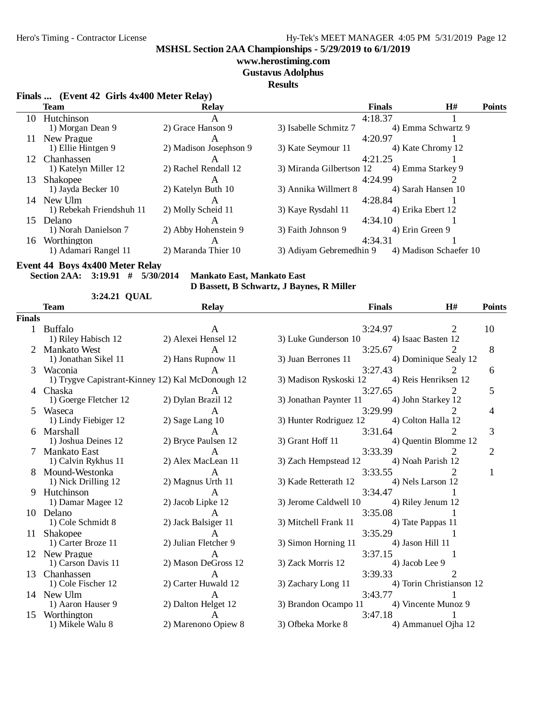## Hero's Timing - Contractor License Hy-Tek's MEET MANAGER 4:05 PM 5/31/2019 Page 12

**MSHSL Section 2AA Championships - 5/29/2019 to 6/1/2019**

## **www.herostiming.com**

**Gustavus Adolphus**

#### **Results**

## **Finals ... (Event 42 Girls 4x400 Meter Relay)**

|     | <b>Team</b>              | <b>Relay</b>           |                          | <b>Finals</b> | H#                     | <b>Points</b> |
|-----|--------------------------|------------------------|--------------------------|---------------|------------------------|---------------|
|     | 10 Hutchinson            | $\mathbf{A}$           |                          | 4:18.37       |                        |               |
|     | 1) Morgan Dean 9         | 2) Grace Hanson 9      | 3) Isabelle Schmitz 7    |               | 4) Emma Schwartz 9     |               |
|     | New Prague               | A                      |                          | 4:20.97       |                        |               |
|     | 1) Ellie Hintgen 9       | 2) Madison Josephson 9 | 3) Kate Seymour 11       |               | 4) Kate Chromy 12      |               |
| 12  | <b>Chanhassen</b>        | $\mathbf{A}$           |                          | 4:21.25       |                        |               |
|     | 1) Katelyn Miller 12     | 2) Rachel Rendall 12   | 3) Miranda Gilbertson 12 |               | 4) Emma Starkey 9      |               |
| 13. | Shakopee                 |                        |                          | 4:24.99       |                        |               |
|     | 1) Jayda Becker 10       | 2) Katelyn Buth 10     | 3) Annika Willmert 8     |               | 4) Sarah Hansen 10     |               |
| 14  | New Ulm                  |                        |                          | 4:28.84       |                        |               |
|     | 1) Rebekah Friendshuh 11 | 2) Molly Scheid 11     | 3) Kaye Rysdahl 11       |               | 4) Erika Ebert 12      |               |
| 15. | <b>Delano</b>            | $\mathsf{A}$           |                          | 4:34.10       |                        |               |
|     | 1) Norah Danielson 7     | 2) Abby Hohenstein 9   | 3) Faith Johnson 9       |               | 4) Erin Green 9        |               |
| 16  | Worthington              | A                      |                          | 4:34.31       |                        |               |
|     | 1) Adamari Rangel 11     | 2) Maranda Thier 10    | 3) Adiyam Gebremedhin 9  |               | 4) Madison Schaefer 10 |               |
|     |                          |                        |                          |               |                        |               |

## **Event 44 Boys 4x400 Meter Relay**

**Section 2AA: 3:19.91 # 5/30/2014 Mankato East, Mankato East**

**QUAL3:24.21**

**D Bassett, B Schwartz, J Baynes, R Miller**

|               | Team                                   | <b>Relay</b>                                     |                                             | <b>Finals</b>                 | H#                          | <b>Points</b>  |
|---------------|----------------------------------------|--------------------------------------------------|---------------------------------------------|-------------------------------|-----------------------------|----------------|
| <b>Finals</b> |                                        |                                                  |                                             |                               |                             |                |
|               | 1 Buffalo<br>1) Riley Habisch 12       | A<br>2) Alexei Hensel 12                         | 3) Luke Gunderson 10                        | 3:24.97<br>4) Isaac Basten 12 | 2                           | 10             |
| 2             | <b>Mankato West</b>                    | $\mathsf{A}$                                     |                                             | 3:25.67                       | 2                           | 8              |
|               | 1) Jonathan Sikel 11 2) Hans Rupnow 11 |                                                  | 3) Juan Berrones 11                         |                               | 4) Dominique Sealy 12       |                |
| 3             | Waconia                                | 1) Trygve Capistrant-Kinney 12) Kal McDonough 12 | 3) Madison Ryskoski 12                      | 3:27.43                       | 4) Reis Henriksen 12        | 6              |
|               | 4 Chaska                               | A                                                |                                             | 3:27.65                       |                             | 5              |
|               | 1) Goerge Fletcher 12                  | 2) Dylan Brazil 12                               | 3) Jonathan Paynter 11 4) John Starkey 12   |                               |                             |                |
| 5             | Waseca                                 | $\mathsf{A}$                                     |                                             | 3:29.99                       | $\mathcal{D}_{\mathcal{L}}$ | 4              |
|               | 1) Lindy Fiebiger 12                   | $2)$ Sage Lang 10                                | 3) Hunter Rodriguez 12 4) Colton Halla 12   |                               |                             |                |
| 6             | Marshall                               | A                                                |                                             | 3:31.64                       |                             | 3              |
|               | 1) Joshua Deines 12                    | 2) Bryce Paulsen 12                              | 3) Grant Hoff $11$                          |                               | 4) Quentin Blomme 12        |                |
|               | <b>Mankato East</b>                    | $\mathsf{A}$                                     |                                             | 3:33.39                       |                             | $\overline{2}$ |
|               | 1) Calvin Rykhus 11                    | 2) Alex MacLean 11                               | 3) Zach Hempstead 12 4) Noah Parish 12      |                               |                             |                |
|               | Mound-Westonka<br>1) Nick Drilling 12  | $\mathbf{A}$<br>2) Magnus Urth 11                | 3) Kade Retterath 12                        | 3:33.55<br>4) Nels Larson 12  | 2                           | 1              |
| 9             | Hutchinson                             |                                                  |                                             | 3:34.47                       |                             |                |
|               | 1) Damar Magee 12                      | 2) Jacob Lipke 12                                | 3) Jerome Caldwell 10                       | 4) Riley Jenum 12             |                             |                |
| 10            | Delano                                 | A                                                |                                             | 3:35.08                       |                             |                |
|               | 1) Cole Schmidt 8                      | 2) Jack Balsiger 11                              | 3) Mitchell Frank 11 4) Tate Pappas 11      |                               |                             |                |
|               | 11 Shakopee                            | $\mathsf{A}$                                     |                                             | 3:35.29                       |                             |                |
|               | 1) Carter Broze 11                     | 2) Julian Fletcher 9                             | 3) Simon Horning 11                         | 4) Jason Hill 11              |                             |                |
|               | 12 New Prague                          |                                                  |                                             | 3:37.15                       |                             |                |
|               | 1) Carson Davis 11                     | 2) Mason DeGross 12                              | 3) Zack Morris 12                           | 4) Jacob Lee 9                |                             |                |
| 13            | Chanhassen                             |                                                  |                                             | 3:39.33                       | $\mathcal{D}_{\mathcal{L}}$ |                |
|               | 1) Cole Fischer 12                     | 2) Carter Huwald 12                              | 3) Zachary Long 11 4) Torin Christianson 12 |                               |                             |                |
|               | 14 New Ulm                             | A                                                |                                             | 3:43.77                       |                             |                |
|               | 1) Aaron Hauser 9                      | 2) Dalton Helget 12                              | 3) Brandon Ocampo 11 4) Vincente Munoz 9    |                               |                             |                |
|               | 15 Worthington                         |                                                  |                                             | 3:47.18                       |                             |                |
|               | 1) Mikele Walu 8                       | 2) Marenono Opiew 8                              | 3) Ofbeka Morke 8                           |                               | 4) Ammanuel Ojha 12         |                |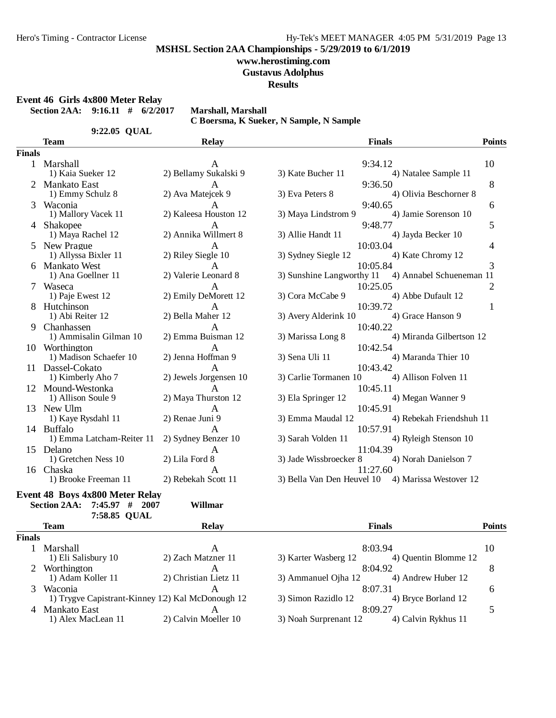#### **www.herostiming.com**

**Gustavus Adolphus**

**Results**

**Event 46 Girls 4x800 Meter Relay**

**Section 2AA: 9:16.11 # 6/2/2017 Marshall, Marshall**

|               |                           |                        | C Boersma, K Sueker, N Sample, N Sample |                          |               |
|---------------|---------------------------|------------------------|-----------------------------------------|--------------------------|---------------|
|               | 9:22.05 QUAL              |                        |                                         |                          |               |
|               | <b>Team</b>               | <b>Relay</b>           |                                         | <b>Finals</b>            | <b>Points</b> |
| <b>Finals</b> |                           |                        |                                         |                          |               |
|               | Marshall                  | A                      |                                         | 9:34.12                  | 10            |
|               | 1) Kaia Sueker 12         | 2) Bellamy Sukalski 9  | 3) Kate Bucher 11                       | 4) Natalee Sample 11     |               |
|               | <b>Mankato East</b>       |                        |                                         | 9:36.50                  | 8             |
|               | 1) Emmy Schulz 8          | 2) Ava Matejcek 9      | 3) Eva Peters 8                         | 4) Olivia Beschorner 8   |               |
| 3             | Waconia                   | A                      |                                         | 9:40.65                  | 6             |
|               | 1) Mallory Vacek 11       | 2) Kaleesa Houston 12  | 3) Maya Lindstrom 9                     | 4) Jamie Sorenson 10     |               |
| 4             | Shakopee                  | $\mathbf{A}$           |                                         | 9:48.77                  | 5             |
|               | 1) Maya Rachel 12         | 2) Annika Willmert 8   | 3) Allie Handt 11                       | 4) Jayda Becker 10       |               |
| 5.            | New Prague                | A                      |                                         | 10:03.04                 | 4             |
|               | 1) Allyssa Bixler 11      | 2) Riley Siegle 10     | 3) Sydney Siegle 12                     | 4) Kate Chromy 12        |               |
|               | <b>Mankato West</b>       | A                      |                                         | 10:05.84                 | 3             |
|               | 1) Ana Goellner 11        | 2) Valerie Leonard 8   | 3) Sunshine Langworthy 11               | 4) Annabel Schueneman 11 |               |
|               | Waseca                    | A                      |                                         | 10:25.05                 | 2             |
|               | 1) Paje Ewest 12          | 2) Emily DeMorett 12   | 3) Cora McCabe 9                        | 4) Abbe Dufault 12       |               |
|               | Hutchinson                | $\mathsf{A}$           |                                         | 10:39.72                 | 1             |
|               | 1) Abi Reiter 12          | 2) Bella Maher 12      | 3) Avery Alderink 10                    | 4) Grace Hanson 9        |               |
| 9             | Chanhassen                | A                      |                                         | 10:40.22                 |               |
|               | 1) Ammisalin Gilman 10    | 2) Emma Buisman 12     | 3) Marissa Long 8                       | 4) Miranda Gilbertson 12 |               |
|               | 10 Worthington            | A                      |                                         | 10:42.54                 |               |
|               | 1) Madison Schaefer 10    | 2) Jenna Hoffman 9     | 3) Sena Uli 11                          | 4) Maranda Thier 10      |               |
| 11            | Dassel-Cokato             | A                      |                                         | 10:43.42                 |               |
|               | 1) Kimberly Aho 7         | 2) Jewels Jorgensen 10 | 3) Carlie Tormanen 10                   | 4) Allison Folven 11     |               |
|               | 12 Mound-Westonka         | $\mathsf{A}$           |                                         | 10:45.11                 |               |
|               | 1) Allison Soule 9        | 2) Maya Thurston 12    | 3) Ela Springer 12                      | 4) Megan Wanner 9        |               |
| 13            | New Ulm                   | A                      |                                         | 10:45.91                 |               |
|               | 1) Kaye Rysdahl 11        | 2) Renae Juni 9        | 3) Emma Maudal 12                       | 4) Rebekah Friendshuh 11 |               |
|               | 14 Buffalo                | A                      |                                         | 10:57.91                 |               |
|               | 1) Emma Latcham-Reiter 11 | 2) Sydney Benzer 10    | 3) Sarah Volden 11                      | 4) Ryleigh Stenson 10    |               |
| 15            | Delano                    | A                      |                                         | 11:04.39                 |               |
|               | 1) Gretchen Ness 10       | 2) Lila Ford 8         | 3) Jade Wissbroecker 8                  | 4) Norah Danielson 7     |               |
|               | 16 Chaska                 | A                      |                                         | 11:27.60                 |               |

1) Brooke Freeman 11 2) Rebekah Scott 11 3) Bella Van Den Heuvel 10 4) Marissa Westover 12

## **Event 48 Boys 4x800 Meter Relay**

**Section 2AA: 7:45.97 # 2007 Willmar**

|               | 7:58.85 QUAL        |                                                   |                       |                      |               |
|---------------|---------------------|---------------------------------------------------|-----------------------|----------------------|---------------|
|               | <b>Team</b>         | <b>Relay</b>                                      |                       | <b>Finals</b>        | <b>Points</b> |
| <b>Finals</b> |                     |                                                   |                       |                      |               |
|               | Marshall            | А                                                 |                       | 8:03.94              | 10            |
|               | 1) Eli Salisbury 10 | 2) Zach Matzner 11                                | 3) Karter Wasberg 12  | 4) Ouentin Blomme 12 |               |
|               | Worthington         | А                                                 |                       | 8:04.92              | 8             |
|               | 1) Adam Koller 11   | 2) Christian Lietz 11                             | 3) Ammanuel Ojha 12   | 4) Andrew Huber 12   |               |
| 3             | Waconia             | А                                                 |                       | 8:07.31              | 6             |
|               |                     | 1) Trygve Capistrant-Kinney 1.2) Kal McDonough 12 | 3) Simon Razidlo 12   | 4) Bryce Borland 12  |               |
| 4             | Mankato East        |                                                   |                       | 8:09.27              |               |
|               | 1) Alex MacLean 11  | 2) Calvin Moeller 10                              | 3) Noah Surprenant 12 | 4) Calvin Rykhus 11  |               |
|               |                     |                                                   |                       |                      |               |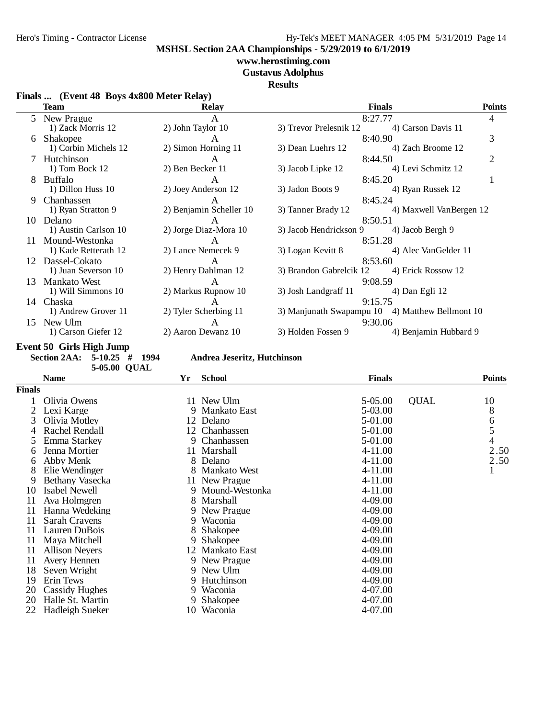## **www.herostiming.com**

**Gustavus Adolphus**

**Results**

|  | Finals  (Event 48 Boys 4x800 Meter Relay) |  |
|--|-------------------------------------------|--|
|  |                                           |  |

|     | <b>Team</b>          | <b>Relay</b>            | <b>Finals</b>                                   | <b>Points</b>           |
|-----|----------------------|-------------------------|-------------------------------------------------|-------------------------|
|     | 5 New Prague         | $\mathsf{A}$            | 8:27.77                                         | 4                       |
|     | 1) Zack Morris 12    | 2) John Taylor 10       | 3) Trevor Prelesnik 12                          | 4) Carson Davis 11      |
| 6   | <b>Shakopee</b>      | A                       | 8:40.90                                         | 3                       |
|     | 1) Corbin Michels 12 | 2) Simon Horning 11     | 3) Dean Luehrs 12                               | 4) Zach Broome 12       |
|     | Hutchinson           | A                       | 8:44.50                                         | $\overline{2}$          |
|     | 1) Tom Bock $12$     | 2) Ben Becker 11        | 3) Jacob Lipke 12                               | 4) Levi Schmitz 12      |
| 8   | <b>Buffalo</b>       |                         | 8:45.20                                         |                         |
|     | 1) Dillon Huss 10    | 2) Joey Anderson 12     | 3) Jadon Boots 9                                | 4) Ryan Russek 12       |
| 9   | Chanhassen           | A                       | 8:45.24                                         |                         |
|     | 1) Ryan Stratton 9   | 2) Benjamin Scheller 10 | 3) Tanner Brady 12                              | 4) Maxwell VanBergen 12 |
| 10  | Delano               | A                       | 8:50.51                                         |                         |
|     | 1) Austin Carlson 10 | 2) Jorge Diaz-Mora 10   | 3) Jacob Hendrickson 9 4) Jacob Bergh 9         |                         |
| 11  | Mound-Westonka       | A                       | 8:51.28                                         |                         |
|     | 1) Kade Retterath 12 | 2) Lance Nemecek 9      | 3) Logan Kevitt 8                               | 4) Alec VanGelder 11    |
| 12. | Dassel-Cokato        | $\mathsf{A}$            | 8:53.60                                         |                         |
|     | 1) Juan Severson 10  | 2) Henry Dahlman 12     | 3) Brandon Gabrelcik 12 4) Erick Rossow 12      |                         |
| 13  | <b>Mankato West</b>  | $\mathbf{A}$            | 9:08.59                                         |                         |
|     | 1) Will Simmons 10   | 2) Markus Rupnow 10     | 3) Josh Landgraff 11<br>4) Dan Egli 12          |                         |
| 14  | Chaska               | A                       | 9:15.75                                         |                         |
|     | 1) Andrew Grover 11  | 2) Tyler Scherbing 11   | 3) Manjunath Swapampu 10 4) Matthew Bellmont 10 |                         |
| 15  | New Ulm              | A                       | 9:30.06                                         |                         |
|     | 1) Carson Giefer 12  | 2) Aaron Dewanz 10      | 3) Holden Fossen 9                              | 4) Benjamin Hubbard 9   |

**Event 50 Girls High Jump**

**5-05.00 QUAL**

**Section 2AA: 5-10.25 # 1994 Andrea Jeseritz, Hutchinson**

|               | <b>Name</b>           | Yr | <b>School</b>    | <b>Finals</b> |             | <b>Points</b> |
|---------------|-----------------------|----|------------------|---------------|-------------|---------------|
| <b>Finals</b> |                       |    |                  |               |             |               |
|               | Olivia Owens          |    | 11 New Ulm       | 5-05.00       | <b>QUAL</b> | 10            |
| 2             | Lexi Karge            |    | 9 Mankato East   | 5-03.00       |             | 8             |
| 3             | Olivia Motley         |    | 12 Delano        | 5-01.00       |             | 6<br>5        |
| 4             | Rachel Rendall        |    | 12 Chanhassen    | 5-01.00       |             |               |
| 5.            | Emma Starkey          | 9  | Chanhassen       | 5-01.00       |             | 4             |
| 6             | Jenna Mortier         |    | 11 Marshall      | 4-11.00       |             | 2.50          |
| 6             | Abby Menk             |    | 8 Delano         | 4-11.00       |             | 2.50          |
| 8             | Elie Wendinger        |    | 8 Mankato West   | 4-11.00       |             | 1             |
| 9             | Bethany Vasecka       |    | 11 New Prague    | 4-11.00       |             |               |
| 10            | Isabel Newell         |    | 9 Mound-Westonka | 4-11.00       |             |               |
| 11            | Ava Holmgren          |    | 8 Marshall       | 4-09.00       |             |               |
| 11            | Hanna Wedeking        |    | 9 New Prague     | 4-09.00       |             |               |
| 11            | Sarah Cravens         |    | 9 Waconia        | 4-09.00       |             |               |
| 11            | Lauren DuBois         | 8  | <b>Shakopee</b>  | 4-09.00       |             |               |
| 11            | Maya Mitchell         | 9. | <b>Shakopee</b>  | 4-09.00       |             |               |
| 11            | <b>Allison Neyers</b> |    | 12 Mankato East  | 4-09.00       |             |               |
| 11            | Avery Hennen          |    | 9 New Prague     | 4-09.00       |             |               |
| 18            | Seven Wright          |    | 9 New Ulm        | 4-09.00       |             |               |
| 19            | Erin Tews             |    | 9 Hutchinson     | 4-09.00       |             |               |
| 20            | Cassidy Hughes        | 9  | Waconia          | 4-07.00       |             |               |
| 20            | Halle St. Martin      | 9. | <b>Shakopee</b>  | 4-07.00       |             |               |
| 22            | Hadleigh Sueker       |    | 10 Waconia       | 4-07.00       |             |               |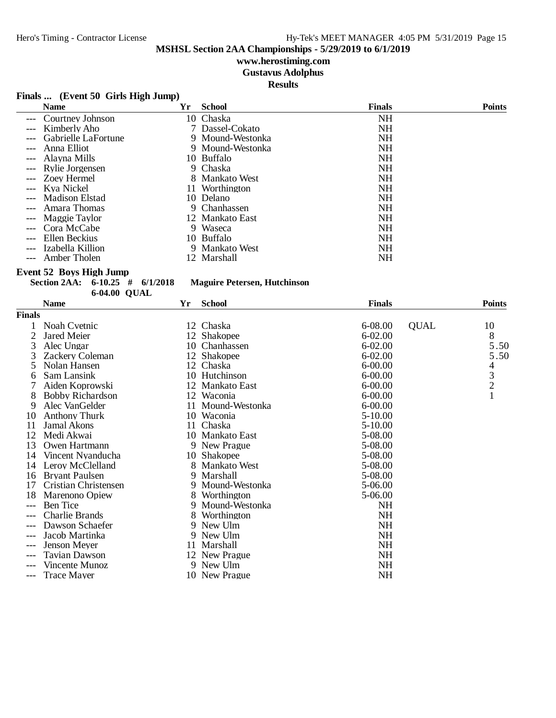# **www.herostiming.com**

**Gustavus Adolphus**

**Results**

#### **Finals ... (Event 50 Girls High Jump)**

|       | <b>Name</b>          | Yr | School           | <b>Finals</b> | <b>Points</b> |
|-------|----------------------|----|------------------|---------------|---------------|
|       | --- Courtney Johnson |    | 10 Chaska        | <b>NH</b>     |               |
|       | Kimberly Aho         |    | 7 Dassel-Cokato  | NΗ            |               |
|       | Gabrielle LaFortune  |    | 9 Mound-Westonka | <b>NH</b>     |               |
| $---$ | Anna Elliot          |    | 9 Mound-Westonka | <b>NH</b>     |               |
|       | --- Alayna Mills     |    | 10 Buffalo       | NΗ            |               |
|       | --- Rylie Jorgensen  |    | 9 Chaska         | NΗ            |               |
|       | --- Zoev Hermel      |    | 8 Mankato West   | <b>NH</b>     |               |
|       | --- Kva Nickel       |    | 11 Worthington   | <b>NH</b>     |               |
|       | --- Madison Elstad   |    | 10 Delano        | <b>NH</b>     |               |
|       | Amara Thomas         |    | 9 Chanhassen     | <b>NH</b>     |               |
|       | --- Maggie Taylor    |    | 12 Mankato East  | <b>NH</b>     |               |
|       | --- Cora McCabe      |    | 9 Waseca         | <b>NH</b>     |               |
| $---$ | Ellen Beckius        |    | 10 Buffalo       | NΗ            |               |
| $---$ | Izabella Killion     |    | 9 Mankato West   | <b>NH</b>     |               |
|       | Amber Tholen         |    | 12 Marshall      | NΗ            |               |

**Event 52 Boys High Jump**

**Section 2AA: 6-10.25 # 6/1/2018 Maguire Petersen, Hutchinson**

|               | 6-04.00 QUAL            |    |                 |               |             |                                            |
|---------------|-------------------------|----|-----------------|---------------|-------------|--------------------------------------------|
|               | <b>Name</b>             | Yr | <b>School</b>   | <b>Finals</b> |             | <b>Points</b>                              |
| <b>Finals</b> |                         |    |                 |               |             |                                            |
|               | Noah Cvetnic            |    | 12 Chaska       | 6-08.00       | <b>QUAL</b> | 10                                         |
| 2             | Jared Meier             |    | 12 Shakopee     | $6 - 02.00$   |             | 8                                          |
| 3             | Alec Ungar              | 10 | Chanhassen      | $6 - 02.00$   |             | 5.50                                       |
|               | Zackery Coleman         |    | 12 Shakopee     | $6 - 02.00$   |             | 5.50                                       |
| 5             | Nolan Hansen            |    | 12 Chaska       | $6 - 00.00$   |             | 4                                          |
| 6             | Sam Lansink             | 10 | Hutchinson      | $6 - 00.00$   |             |                                            |
|               | Aiden Koprowski         |    | 12 Mankato East | $6 - 00.00$   |             | $\begin{array}{c} 3 \\ 2 \\ 1 \end{array}$ |
| 8             | <b>Bobby Richardson</b> |    | 12 Waconia      | $6-00.00$     |             |                                            |
| 9             | Alec VanGelder          | 11 | Mound-Westonka  | $6 - 00.00$   |             |                                            |
| 10            | <b>Anthony Thurk</b>    | 10 | Waconia         | $5 - 10.00$   |             |                                            |
| 11            | Jamal Akons             |    | 11 Chaska       | $5 - 10.00$   |             |                                            |
| 12            | Medi Akwai              |    | 10 Mankato East | 5-08.00       |             |                                            |
| 13            | Owen Hartmann           |    | 9 New Prague    | 5-08.00       |             |                                            |
| 14            | Vincent Nyanducha       | 10 | <b>Shakopee</b> | 5-08.00       |             |                                            |
| 14            | Leroy McClelland        | 8  | Mankato West    | 5-08.00       |             |                                            |
| 16            | <b>Bryant Paulsen</b>   | 9  | Marshall        | 5-08.00       |             |                                            |
| 17            | Cristian Christensen    | 9  | Mound-Westonka  | 5-06.00       |             |                                            |
| 18            | Marenono Opiew          | 8. | Worthington     | 5-06.00       |             |                                            |
| $---$         | <b>Ben</b> Tice         | 9  | Mound-Westonka  | <b>NH</b>     |             |                                            |
| ---           | Charlie Brands          | 8  | Worthington     | NH            |             |                                            |
|               | Dawson Schaefer         | 9  | New Ulm         | <b>NH</b>     |             |                                            |
|               | Jacob Martinka          | 9  | New Ulm         | <b>NH</b>     |             |                                            |
|               | <b>Jenson Mever</b>     | 11 | Marshall        | <b>NH</b>     |             |                                            |
| $---$         | <b>Tavian Dawson</b>    |    | 12 New Prague   | <b>NH</b>     |             |                                            |
|               | Vincente Munoz          |    | 9 New Ulm       | NH            |             |                                            |
| ---           | <b>Trace Mayer</b>      | 10 | New Prague      | NH            |             |                                            |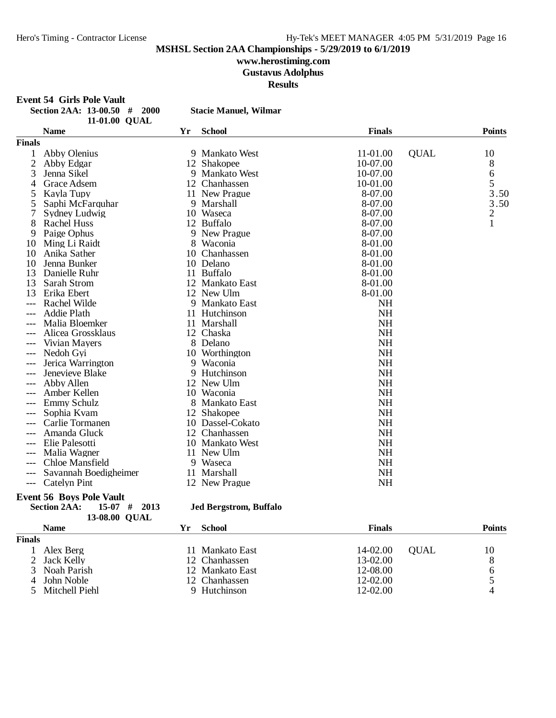## **www.herostiming.com**

**Gustavus Adolphus**

**Results**

**Event 54 Girls Pole Vault<br>Section 2AA: 13-00.50** 

| Section 2AA: 13-00.50 # 200 |               |  |
|-----------------------------|---------------|--|
|                             | 11-01.00 OUAL |  |

**1300. <b>13-13-00. 13-00. Stacie Manuel, Wilmar** 

|                | <b>Name</b>           | Yr | <b>School</b>       | <b>Finals</b> |             | <b>Points</b>  |
|----------------|-----------------------|----|---------------------|---------------|-------------|----------------|
| <b>Finals</b>  |                       |    |                     |               |             |                |
|                | Abby Olenius          |    | 9 Mankato West      | 11-01.00      | <b>QUAL</b> | 10             |
| $\overline{c}$ | Abby Edgar            |    | 12 Shakopee         | 10-07.00      |             | 8              |
| 3              | Jenna Sikel           |    | 9 Mankato West      | 10-07.00      |             | 6              |
| 4              | Grace Adsem           |    | 12 Chanhassen       | 10-01.00      |             | 5              |
| 5              | Kayla Tupy            |    | 11 New Prague       | 8-07.00       |             | 3.50           |
| 5              | Saphi McFarquhar      |    | 9 Marshall          | 8-07.00       |             | 3.50           |
| 7              | Sydney Ludwig         |    | 10 Waseca           | 8-07.00       |             | $\overline{c}$ |
| 8              | Rachel Huss           |    | 12 Buffalo          | 8-07.00       |             | $\mathbf{1}$   |
| 9              | Paige Ophus           | 9  | New Prague          | 8-07.00       |             |                |
| 10             | Ming Li Raidt         | 8  | Waconia             | 8-01.00       |             |                |
| 10             | Anika Sather          | 10 | Chanhassen          | 8-01.00       |             |                |
| 10             | Jenna Bunker          |    | 10 Delano           | 8-01.00       |             |                |
| 13             | Danielle Ruhr         | 11 | <b>Buffalo</b>      | 8-01.00       |             |                |
| 13             | Sarah Strom           | 12 | Mankato East        | 8-01.00       |             |                |
| 13             | Erika Ebert           |    | 12 New Ulm          | 8-01.00       |             |                |
|                | Rachel Wilde          | 9  | Mankato East        | <b>NH</b>     |             |                |
| $---$          | Addie Plath           |    | 11 Hutchinson       | <b>NH</b>     |             |                |
|                | Malia Bloemker        |    | 11 Marshall         | <b>NH</b>     |             |                |
|                | Alicea Grossklaus     |    | 12 Chaska           | <b>NH</b>     |             |                |
|                | Vivian Mayers         |    | 8 Delano            | <b>NH</b>     |             |                |
| $---$          | Nedoh Gyi             |    | 10 Worthington      | <b>NH</b>     |             |                |
|                | Jerica Warrington     |    | 9 Waconia           | <b>NH</b>     |             |                |
|                | Jenevieve Blake       | 9  | Hutchinson          | <b>NH</b>     |             |                |
|                | Abby Allen            | 12 | New Ulm             | <b>NH</b>     |             |                |
|                | Amber Kellen          | 10 | Waconia             | <b>NH</b>     |             |                |
|                | Emmy Schulz           | 8  | Mankato East        | <b>NH</b>     |             |                |
|                | Sophia Kvam           | 12 | <b>Shakopee</b>     | <b>NH</b>     |             |                |
|                | Carlie Tormanen       | 10 | Dassel-Cokato       | <b>NH</b>     |             |                |
|                | Amanda Gluck          | 12 | Chanhassen          | <b>NH</b>     |             |                |
|                | Elie Palesotti        | 10 | <b>Mankato West</b> | <b>NH</b>     |             |                |
|                | Malia Wagner          | 11 | New Ulm             | <b>NH</b>     |             |                |
|                | Chloe Mansfield       | 9  | Waseca              | <b>NH</b>     |             |                |
|                | Savannah Boedigheimer | 11 | Marshall            | <b>NH</b>     |             |                |
| $---$          | <b>Catelyn Pint</b>   |    | 12 New Prague       | <b>NH</b>     |             |                |

#### **Event 56 Boys Pole Vault**

**13-08.00 QUAL** 

# **Section 2AA: 15-07 # 2013 Jed Bergstrom, Buffalo**

|               | <b>Name</b>      | Үr | School          | <b>Finals</b> |             | <b>Points</b> |
|---------------|------------------|----|-----------------|---------------|-------------|---------------|
| <b>Finals</b> |                  |    |                 |               |             |               |
|               | Alex Berg        |    | 11 Mankato East | 14-02.00      | <b>OUAL</b> | 10            |
|               | 2 Jack Kelly     |    | 12 Chanhassen   | 13-02.00      |             |               |
|               | 3 Noah Parish    |    | 12 Mankato East | 12-08.00      |             |               |
|               | 4 John Noble     |    | 12 Chanhassen   | 12-02.00      |             |               |
|               | 5 Mitchell Piehl |    | 9 Hutchinson    | 12-02.00      |             |               |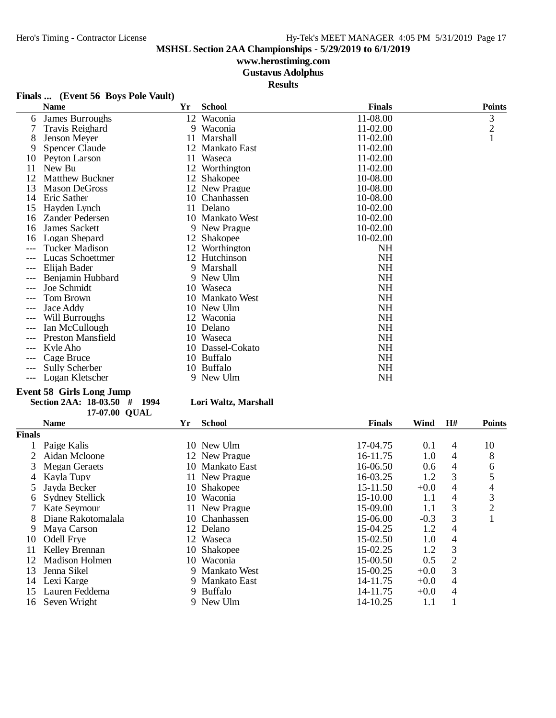## **www.herostiming.com**

**Gustavus Adolphus**

**Results**

## **Finals ... (Event 56 Boys Pole Vault)**

|    | <b>Name</b>            | Yr | <b>School</b>    | <b>Finals</b> | <b>Points</b>  |
|----|------------------------|----|------------------|---------------|----------------|
| 6  | James Burroughs        | 12 | Waconia          | 11-08.00      | 3              |
|    | Travis Reighard        |    | 9 Waconia        | 11-02.00      | $\overline{c}$ |
| 8  | Jenson Meyer           | 11 | Marshall         | 11-02.00      |                |
| 9  | <b>Spencer Claude</b>  | 12 | Mankato East     | 11-02.00      |                |
| 10 | Peyton Larson          | 11 | Waseca           | 11-02.00      |                |
| 11 | New Bu                 |    | 12 Worthington   | $11-02.00$    |                |
| 12 | <b>Matthew Buckner</b> | 12 | <b>Shakopee</b>  | 10-08.00      |                |
| 13 | <b>Mason DeGross</b>   |    | 12 New Prague    | 10-08.00      |                |
| 14 | Eric Sather            |    | 10 Chanhassen    | 10-08.00      |                |
| 15 | Hayden Lynch           | 11 | Delano           | 10-02.00      |                |
| 16 | Zander Pedersen        |    | 10 Mankato West  | 10-02.00      |                |
| 16 | James Sackett          |    | 9 New Prague     | 10-02.00      |                |
| 16 | Logan Shepard          | 12 | Shakopee         | 10-02.00      |                |
|    | Tucker Madison         | 12 | Worthington      | NH            |                |
|    | Lucas Schoettmer       |    | 12 Hutchinson    | NH            |                |
|    | Elijah Bader           | 9  | Marshall         | <b>NH</b>     |                |
|    | Benjamin Hubbard       | 9  | New Ulm          | NH            |                |
|    | Joe Schmidt            | 10 | Waseca           | NH            |                |
|    | Tom Brown              | 10 | Mankato West     | <b>NH</b>     |                |
|    | Jace Addy              | 10 | New Ulm          | NH            |                |
|    | Will Burroughs         | 12 | Waconia          | <b>NH</b>     |                |
|    | Ian McCullough         |    | 10 Delano        | <b>NH</b>     |                |
|    | Preston Mansfield      | 10 | Waseca           | <b>NH</b>     |                |
|    | Kyle Aho               |    | 10 Dassel-Cokato | <b>NH</b>     |                |
|    | Cage Bruce             |    | 10 Buffalo       | <b>NH</b>     |                |
|    | <b>Sully Scherber</b>  | 10 | <b>Buffalo</b>   | <b>NH</b>     |                |
|    | Logan Kletscher        |    | 9 New Ulm        | <b>NH</b>     |                |
|    |                        |    |                  |               |                |

## **Event 58 Girls Long Jump**

| Section 2AA: $18-03.50$ # 1994 |               |  |
|--------------------------------|---------------|--|
|                                | 17-07.00 OUAL |  |

### Lori Waltz, Marshall

|               | <b>Name</b>            | Yr | <b>School</b>   | <b>Finals</b> | Wind   | H# | <b>Points</b>  |
|---------------|------------------------|----|-----------------|---------------|--------|----|----------------|
| <b>Finals</b> |                        |    |                 |               |        |    |                |
|               | Paige Kalis            |    | 10 New Ulm      | 17-04.75      | 0.1    | 4  | 10             |
|               | Aidan Mcloone          |    | 12 New Prague   | 16-11.75      | 1.0    | 4  | 8              |
| 3             | <b>Megan Geraets</b>   |    | 10 Mankato East | $16-06.50$    | 0.6    | 4  | 6              |
| 4             | Kayla Tupy             |    | 11 New Prague   | 16-03.25      | 1.2    | 3  | 5              |
| 5             | Jayda Becker           |    | 10 Shakopee     | 15-11.50      | $+0.0$ | 4  | 4              |
| 6             | <b>Sydney Stellick</b> | 10 | Waconia         | 15-10.00      | 1.1    | 4  | 3              |
|               | Kate Seymour           |    | 11 New Prague   | 15-09.00      | 1.1    | 3  | $\overline{c}$ |
| 8             | Diane Rakotomalala     |    | 10 Chanhassen   | 15-06.00      | $-0.3$ | 3  |                |
| 9             | Maya Carson            |    | 12 Delano       | 15-04.25      | 1.2    | 4  |                |
| 10            | Odell Frye             |    | 12 Waseca       | 15-02.50      | 1.0    | 4  |                |
| 11            | Kelley Brennan         | 10 | Shakopee        | 15-02.25      | 1.2    | 3  |                |
| 12            | Madison Holmen         | 10 | Waconia         | 15-00.50      | 0.5    | 2  |                |
| 13            | Jenna Sikel            |    | 9 Mankato West  | 15-00.25      | $+0.0$ | 3  |                |
| 14            | Lexi Karge             |    | 9 Mankato East  | 14-11.75      | $+0.0$ | 4  |                |
| 15            | Lauren Feddema         |    | 9 Buffalo       | 14-11.75      | $+0.0$ | 4  |                |
| 16            | Seven Wright           |    | 9 New Ulm       | 14-10.25      | 1.1    |    |                |
|               |                        |    |                 |               |        |    |                |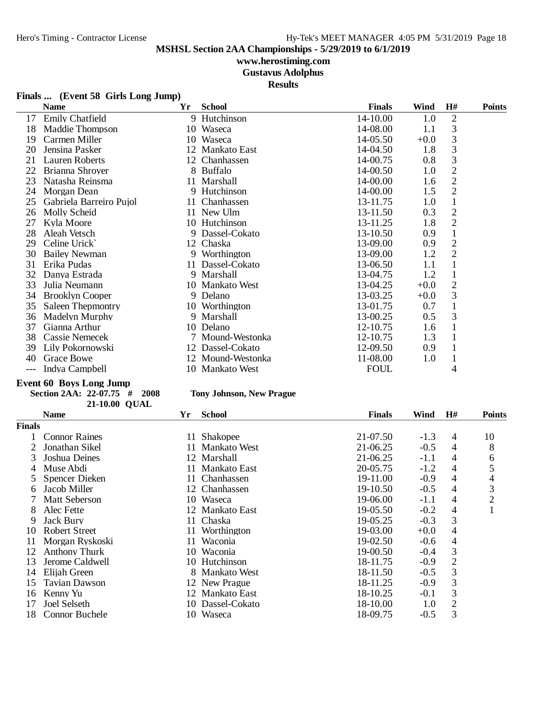## **www.herostiming.com**

**Gustavus Adolphus**

**Results**

## **Finals ... (Event 58 Girls Long Jump)**

|     | <b>Name</b>             | Yr | <b>School</b>     | <b>Finals</b> | Wind   | H#             | <b>Points</b> |
|-----|-------------------------|----|-------------------|---------------|--------|----------------|---------------|
| 17  | <b>Emily Chatfield</b>  |    | 9 Hutchinson      | 14-10.00      | 1.0    | 2              |               |
| 18  | Maddie Thompson         |    | 10 Waseca         | 14-08.00      | 1.1    | 3              |               |
| 19  | Carmen Miller           |    | 10 Waseca         | 14-05.50      | $+0.0$ | 3              |               |
| 20  | Jensina Pasker          |    | 12 Mankato East   | 14-04.50      | 1.8    | 3              |               |
| 21  | Lauren Roberts          |    | 12 Chanhassen     | 14-00.75      | 0.8    | 3              |               |
| 22  | Brianna Shroyer         |    | 8 Buffalo         | 14-00.50      | 1.0    | $\overline{2}$ |               |
| 23  | Natasha Reinsma         |    | 11 Marshall       | 14-00.00      | 1.6    | $\overline{2}$ |               |
| 24  | Morgan Dean             |    | 9 Hutchinson      | 14-00.00      | 1.5    | $\overline{2}$ |               |
| 25  | Gabriela Barreiro Pujol |    | 11 Chanhassen     | 13-11.75      | 1.0    | $\mathbf{1}$   |               |
| 26  | Molly Scheid            |    | 11 New Ulm        | 13-11.50      | 0.3    | $\overline{2}$ |               |
| 27  | Kyla Moore              |    | 10 Hutchinson     | 13-11.25      | 1.8    | $\overline{2}$ |               |
| 28  | Aleah Vetsch            |    | 9 Dassel-Cokato   | 13-10.50      | 0.9    | $\mathbf{1}$   |               |
| 29  | Celine Urick            |    | 12 Chaska         | 13-09.00      | 0.9    | $\sqrt{2}$     |               |
| 30  | <b>Bailey Newman</b>    |    | 9 Worthington     | 13-09.00      | 1.2    | $\overline{2}$ |               |
| 31  | Erika Pudas             |    | 11 Dassel-Cokato  | 13-06.50      | 1.1    | $\mathbf{1}$   |               |
| 32  | Danya Estrada           |    | 9 Marshall        | 13-04.75      | 1.2    |                |               |
| 33  | Julia Neumann           |    | 10 Mankato West   | 13-04.25      | $+0.0$ | $\mathbf{2}$   |               |
| 34  | <b>Brooklyn Cooper</b>  |    | 9 Delano          | 13-03.25      | $+0.0$ | 3              |               |
| 35  | Saleen Thepmontry       |    | 10 Worthington    | 13-01.75      | 0.7    |                |               |
| 36  | Madelyn Murphy          |    | 9 Marshall        | 13-00.25      | 0.5    | 3              |               |
| 37  | Gianna Arthur           |    | 10 Delano         | 12-10.75      | 1.6    | 1              |               |
| 38  | <b>Cassie Nemecek</b>   |    | 7 Mound-Westonka  | 12-10.75      | 1.3    | 1              |               |
| 39  | Lily Pokornowski        |    | 12 Dassel-Cokato  | 12-09.50      | 0.9    |                |               |
| 40  | Grace Bowe              |    | 12 Mound-Westonka | 11-08.00      | 1.0    |                |               |
| --- | Indya Campbell          |    | 10 Mankato West   | <b>FOUL</b>   |        | 4              |               |

## **Event 60 Boys Long Jump**

**Section 2AA: 22-07.75 # 2008 Tony Johnson, New Prague QUAL21-10.00**

|        | <b>Name</b>          | Yr  | <b>School</b>    | <b>Finals</b> | Wind   | H#             | <b>Points</b>  |
|--------|----------------------|-----|------------------|---------------|--------|----------------|----------------|
| Finals |                      |     |                  |               |        |                |                |
|        | <b>Connor Raines</b> | 11  | <b>Shakopee</b>  | 21-07.50      | $-1.3$ | 4              | 10             |
|        | Jonathan Sikel       |     | 11 Mankato West  | 21-06.25      | $-0.5$ | 4              | 8              |
| 3      | Joshua Deines        |     | 12 Marshall      | 21-06.25      | $-1.1$ | 4              | 6              |
| 4      | Muse Abdi            |     | 11 Mankato East  | 20-05.75      | $-1.2$ | 4              | 5              |
|        | Spencer Dieken       |     | 11 Chanhassen    | 19-11.00      | $-0.9$ | 4              | 4              |
| 6      | Jacob Miller         |     | 12 Chanhassen    | 19-10.50      | $-0.5$ | 4              | 3              |
|        | <b>Matt Seberson</b> | 10- | Waseca           | 19-06.00      | $-1.1$ | 4              | $\overline{c}$ |
| 8      | Alec Fette           | 12  | Mankato East     | 19-05.50      | $-0.2$ | 4              |                |
| 9      | Jack Bury            |     | 11 Chaska        | 19-05.25      | $-0.3$ | 3              |                |
| 10     | Robert Street        | 11  | Worthington      | 19-03.00      | $+0.0$ | 4              |                |
| 11     | Morgan Ryskoski      | 11  | Waconia          | 19-02.50      | $-0.6$ | 4              |                |
| 12     | <b>Anthony Thurk</b> | 10  | Waconia          | 19-00.50      | $-0.4$ | 3              |                |
| 13     | Jerome Caldwell      | 10  | Hutchinson       | 18-11.75      | $-0.9$ | $\overline{2}$ |                |
| 14     | Elijah Green         |     | Mankato West     | 18-11.50      | $-0.5$ | 3              |                |
| 15     | Tavian Dawson        |     | 12 New Prague    | 18-11.25      | $-0.9$ | 3              |                |
| 16     | Kenny Yu             |     | 12 Mankato East  | 18-10.25      | $-0.1$ | 3              |                |
| 17     | Joel Selseth         |     | 10 Dassel-Cokato | 18-10.00      | 1.0    | $\overline{2}$ |                |
| 18     | Connor Buchele       | 10- | Waseca           | 18-09.75      | $-0.5$ | 3              |                |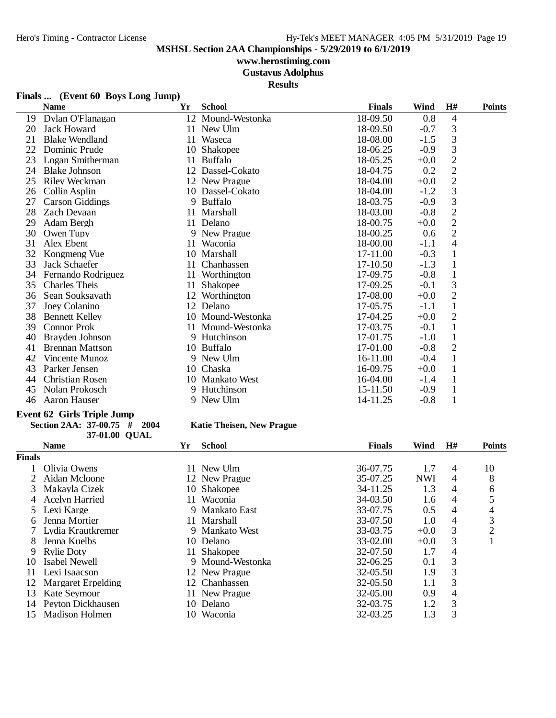# **www.herostiming.com**

**Gustavus Adolphus**

**Results**

## **Finals ... (Event 60 Boys Long Jump)**

|    | <b>Name</b>            | Yr | <b>School</b>     | <b>Finals</b> | Wind   | H#             | <b>Points</b> |
|----|------------------------|----|-------------------|---------------|--------|----------------|---------------|
| 19 | Dylan O'Flanagan       |    | 12 Mound-Westonka | 18-09.50      | 0.8    | $\overline{4}$ |               |
| 20 | Jack Howard            |    | 11 New Ulm        | 18-09.50      | $-0.7$ | 3              |               |
| 21 | <b>Blake Wendland</b>  |    | 11 Waseca         | 18-08.00      | $-1.5$ | 3              |               |
| 22 | Dominic Prude          | 10 | <b>Shakopee</b>   | 18-06.25      | $-0.9$ | 3              |               |
| 23 | Logan Smitherman       | 11 | <b>Buffalo</b>    | 18-05.25      | $+0.0$ | $\frac{2}{2}$  |               |
| 24 | <b>Blake Johnson</b>   |    | 12 Dassel-Cokato  | 18-04.75      | 0.2    |                |               |
| 25 | Riley Weckman          |    | 12 New Prague     | 18-04.00      | $+0.0$ | $\overline{2}$ |               |
| 26 | Collin Asplin          |    | 10 Dassel-Cokato  | 18-04.00      | $-1.2$ | 3              |               |
| 27 | <b>Carson Giddings</b> |    | 9 Buffalo         | 18-03.75      | $-0.9$ | 3              |               |
| 28 | Zach Devaan            |    | 11 Marshall       | 18-03.00      | $-0.8$ | $\sqrt{2}$     |               |
| 29 | Adam Bergh             |    | 11 Delano         | 18-00.75      | $+0.0$ | $\overline{2}$ |               |
| 30 | Owen Tupy              |    | 9 New Prague      | 18-00.25      | 0.6    | $\overline{2}$ |               |
| 31 | Alex Ebent             | 11 | Waconia           | 18-00.00      | $-1.1$ | $\overline{4}$ |               |
| 32 | Kongmeng Vue           |    | 10 Marshall       | 17-11.00      | $-0.3$ | $\mathbf{1}$   |               |
| 33 | Jack Schaefer          | 11 | Chanhassen        | 17-10.50      | $-1.3$ | $\mathbf{1}$   |               |
| 34 | Fernando Rodriguez     | 11 | Worthington       | 17-09.75      | $-0.8$ | $\mathbf{1}$   |               |
| 35 | <b>Charles Theis</b>   | 11 | Shakopee          | 17-09.25      | $-0.1$ | 3              |               |
| 36 | Sean Souksavath        | 12 | Worthington       | 17-08.00      | $+0.0$ | $\overline{2}$ |               |
| 37 | Joey Colanino          |    | 12 Delano         | 17-05.75      | $-1.1$ | $\mathbf{1}$   |               |
| 38 | <b>Bennett Kelley</b>  |    | 10 Mound-Westonka | 17-04.25      | $+0.0$ | $\overline{2}$ |               |
| 39 | <b>Connor Prok</b>     |    | 11 Mound-Westonka | 17-03.75      | $-0.1$ | $\mathbf{1}$   |               |
| 40 | Brayden Johnson        |    | 9 Hutchinson      | 17-01.75      | $-1.0$ | $\mathbf{1}$   |               |
| 41 | <b>Brennan Mattson</b> |    | 10 Buffalo        | 17-01.00      | $-0.8$ | $\overline{2}$ |               |
| 42 | Vincente Munoz         |    | 9 New Ulm         | 16-11.00      | $-0.4$ |                |               |
| 43 | Parker Jensen          | 10 | Chaska            | 16-09.75      | $+0.0$ | $\mathbf{1}$   |               |
| 44 | Christian Rosen        |    | 10 Mankato West   | 16-04.00      | $-1.4$ | 1              |               |
| 45 | Nolan Prokosch         |    | 9 Hutchinson      | 15-11.50      | $-0.9$ | 1              |               |
| 46 | Aaron Hauser           |    | 9 New Ulm         | 14-11.25      | $-0.8$ | $\mathbf{1}$   |               |

### **Event 62 Girls Triple Jump**

| Section 2AA: $37-00.75$ # 2004 |               |  |
|--------------------------------|---------------|--|
|                                | 37-01.00 OUAL |  |

## **Section 2AA: 37-00.75 # 2004 Katie Theisen, New Prague**

|               | <b>Name</b>           | Yr  | <b>School</b>       | <b>Finals</b> | Wind       | H# | <b>Points</b>  |
|---------------|-----------------------|-----|---------------------|---------------|------------|----|----------------|
| <b>Finals</b> |                       |     |                     |               |            |    |                |
|               | Olivia Owens          |     | New Ulm             | 36-07.75      | 1.7        | 4  | 10             |
|               | Aidan Mcloone         |     | 12 New Prague       | 35-07.25      | <b>NWI</b> | 4  | 8              |
| 3             | Makayla Cizek         |     | 10 Shakopee         | 34-11.25      | 1.3        | 4  | 6              |
| 4             | <b>Acelyn Harried</b> | 11. | Waconia             | 34-03.50      | 1.6        | 4  | 5              |
|               | Lexi Karge            |     | 9 Mankato East      | 33-07.75      | 0.5        | 4  | 4              |
| 6             | Jenna Mortier         | 11. | Marshall            | 33-07.50      | 1.0        | 4  | 3              |
|               | Lydia Krautkremer     | 9.  | <b>Mankato West</b> | 33-03.75      | $+0.0$     | 3  | $\overline{2}$ |
| 8             | Jenna Kuelbs          |     | 10 Delano           | $33-02.00$    | $+0.0$     | 3  |                |
| 9             | <b>Rylie Doty</b>     |     | 11 Shakopee         | 32-07.50      | 1.7        | 4  |                |
| 10            | Isabel Newell         |     | 9 Mound-Westonka    | 32-06.25      | 0.1        | 3  |                |
| 11            | Lexi Isaacson         |     | 12 New Prague       | $32 - 05.50$  | 1.9        | 3  |                |
| 12            | Margaret Erpelding    |     | 12 Chanhassen       | 32-05.50      | 1.1        | 3  |                |
| 13            | Kate Seymour          |     | New Prague          | 32-05.00      | 0.9        | 4  |                |
| 14            | Peyton Dickhausen     | 10. | Delano              | 32-03.75      | 1.2        | 3  |                |
| 15            | Madison Holmen        | 10  | Waconia             | 32-03.25      | 1.3        | 3  |                |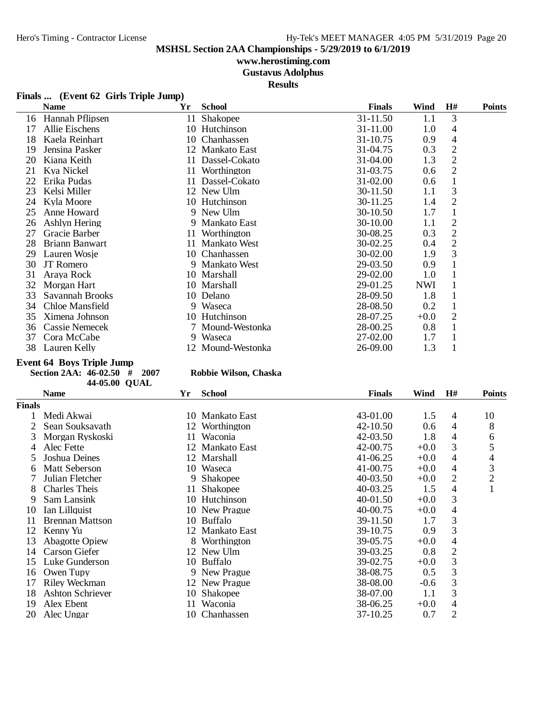# **www.herostiming.com**

**Gustavus Adolphus**

**Results**

| Finals  (Event 62 Girls Triple Jump) |  |  |  |  |
|--------------------------------------|--|--|--|--|
|--------------------------------------|--|--|--|--|

| <b>Name</b>           | Yr                                            | <b>School</b>       | <b>Finals</b>                                                                                                                                                                                                                                            | Wind                             | H#             | Points                                                                    |
|-----------------------|-----------------------------------------------|---------------------|----------------------------------------------------------------------------------------------------------------------------------------------------------------------------------------------------------------------------------------------------------|----------------------------------|----------------|---------------------------------------------------------------------------|
| Hannah Pflipsen       | 11                                            | Shakopee            | 31-11.50                                                                                                                                                                                                                                                 | 1.1                              | 3              |                                                                           |
| Allie Eischens        |                                               |                     | 31-11.00                                                                                                                                                                                                                                                 | 1.0                              | 4              |                                                                           |
| Kaela Reinhart        |                                               | Chanhassen          | 31-10.75                                                                                                                                                                                                                                                 | 0.9                              | 4              |                                                                           |
| Jensina Pasker        |                                               |                     | 31-04.75                                                                                                                                                                                                                                                 | 0.3                              | $\mathfrak{2}$ |                                                                           |
| Kiana Keith           | 11                                            | Dassel-Cokato       | 31-04.00                                                                                                                                                                                                                                                 | 1.3                              |                |                                                                           |
| Kya Nickel            | 11                                            | Worthington         | 31-03.75                                                                                                                                                                                                                                                 | 0.6                              |                |                                                                           |
| Erika Pudas           |                                               | Dassel-Cokato       | 31-02.00                                                                                                                                                                                                                                                 | 0.6                              |                |                                                                           |
| Kelsi Miller          |                                               |                     | 30-11.50                                                                                                                                                                                                                                                 | 1.1                              | 3              |                                                                           |
| Kyla Moore            |                                               |                     | 30-11.25                                                                                                                                                                                                                                                 | 1.4                              | $\overline{2}$ |                                                                           |
| Anne Howard           |                                               |                     | 30-10.50                                                                                                                                                                                                                                                 | 1.7                              |                |                                                                           |
| Ashlyn Hering         |                                               |                     | 30-10.00                                                                                                                                                                                                                                                 | 1.1                              | 2              |                                                                           |
| Gracie Barber         |                                               | Worthington         | 30-08.25                                                                                                                                                                                                                                                 | 0.3                              |                |                                                                           |
| Briann Banwart        |                                               | <b>Mankato West</b> | 30-02.25                                                                                                                                                                                                                                                 | 0.4                              |                |                                                                           |
| Lauren Wosje          |                                               | Chanhassen          | 30-02.00                                                                                                                                                                                                                                                 | 1.9                              |                |                                                                           |
| <b>JT</b> Romero      |                                               | <b>Mankato West</b> | 29-03.50                                                                                                                                                                                                                                                 | 0.9                              |                |                                                                           |
| Araya Rock            |                                               |                     | 29-02.00                                                                                                                                                                                                                                                 | 1.0                              |                |                                                                           |
|                       |                                               |                     | 29-01.25                                                                                                                                                                                                                                                 | <b>NWI</b>                       |                |                                                                           |
| Savannah Brooks       |                                               |                     |                                                                                                                                                                                                                                                          | 1.8                              |                |                                                                           |
|                       |                                               |                     |                                                                                                                                                                                                                                                          |                                  |                |                                                                           |
| Ximena Johnson        |                                               |                     | 28-07.25                                                                                                                                                                                                                                                 |                                  | 2              |                                                                           |
| <b>Cassie Nemecek</b> |                                               |                     | 28-00.25                                                                                                                                                                                                                                                 | 0.8                              | 1              |                                                                           |
|                       |                                               | Waseca              |                                                                                                                                                                                                                                                          | 1.7                              |                |                                                                           |
| Lauren Kelly          |                                               |                     | 26-09.00                                                                                                                                                                                                                                                 | 1.3                              |                |                                                                           |
|                       | Morgan Hart<br>Chloe Mansfield<br>Cora McCabe |                     | 10 Hutchinson<br>10<br>12 Mankato East<br>11<br>12 New Ulm<br>10 Hutchinson<br>9 New Ulm<br>9 Mankato East<br>11<br>11<br>10<br>9<br>10 Marshall<br>10 Marshall<br>10 Delano<br>9 Waseca<br>10 Hutchinson<br>7 Mound-Westonka<br>9.<br>12 Mound-Westonka | 28-09.50<br>28-08.50<br>27-02.00 | 0.2<br>$+0.0$  | $\overline{2}$<br>$\overline{2}$<br>$\overline{2}$<br>$\mathfrak{2}$<br>3 |

### **Event 64 Boys Triple Jump**

**Section 2AA: 46-02.50 # 2007 Robbie Wilson, Chaska QUAL44-05.00**

|  |  | łobbie Wilson, Chaska |  |
|--|--|-----------------------|--|
|--|--|-----------------------|--|

|               | <b>Name</b>             | Yr | <b>School</b>   | <b>Finals</b> | Wind   | H#             | <b>Points</b>  |
|---------------|-------------------------|----|-----------------|---------------|--------|----------------|----------------|
| <b>Finals</b> |                         |    |                 |               |        |                |                |
|               | Medi Akwai              |    | 10 Mankato East | 43-01.00      | 1.5    | 4              | 10             |
|               | Sean Souksavath         | 12 | Worthington     | 42-10.50      | 0.6    | 4              | 8              |
| 3             | Morgan Ryskoski         | 11 | Waconia         | 42-03.50      | 1.8    | 4              | 6              |
| 4             | Alec Fette              |    | 12 Mankato East | 42-00.75      | $+0.0$ | 3              | 5              |
| 5.            | Joshua Deines           |    | 12 Marshall     | $41-06.25$    | $+0.0$ | 4              | 4              |
| 6             | <b>Matt Seberson</b>    |    | 10 Waseca       | 41-00.75      | $+0.0$ | 4              | 3              |
|               | Julian Fletcher         | 9. | <b>Shakopee</b> | 40-03.50      | $+0.0$ | 2              | $\overline{c}$ |
| 8             | <b>Charles Theis</b>    | 11 | <b>Shakopee</b> | 40-03.25      | 1.5    | 4              |                |
| 9             | Sam Lansink             |    | 10 Hutchinson   | 40-01.50      | $+0.0$ | 3              |                |
| 10            | Ian Lillquist           |    | 10 New Prague   | 40-00.75      | $+0.0$ | 4              |                |
| 11            | <b>Brennan Mattson</b>  |    | 10 Buffalo      | 39-11.50      | 1.7    | 3              |                |
| 12            | Kenny Yu                |    | 12 Mankato East | 39-10.75      | 0.9    | 3              |                |
| 13            | <b>Abagotte Opiew</b>   |    | 8 Worthington   | 39-05.75      | $+0.0$ | 4              |                |
| 14            | Carson Giefer           |    | 12 New Ulm      | 39-03.25      | 0.8    | $\mathfrak{2}$ |                |
| 15            | Luke Gunderson          |    | 10 Buffalo      | 39-02.75      | $+0.0$ | 3              |                |
| 16            | Owen Tupy               |    | 9 New Prague    | 38-08.75      | 0.5    | 3              |                |
| 17            | Riley Weckman           |    | 12 New Prague   | 38-08.00      | $-0.6$ | 3              |                |
| 18            | <b>Ashton Schriever</b> | 10 | Shakopee        | 38-07.00      | 1.1    | 3              |                |
| 19            | Alex Ebent              | 11 | Waconia         | 38-06.25      | $+0.0$ | 4              |                |
| 20            | Alec Ungar              |    | 10 Chanhassen   | 37-10.25      | 0.7    | $\overline{c}$ |                |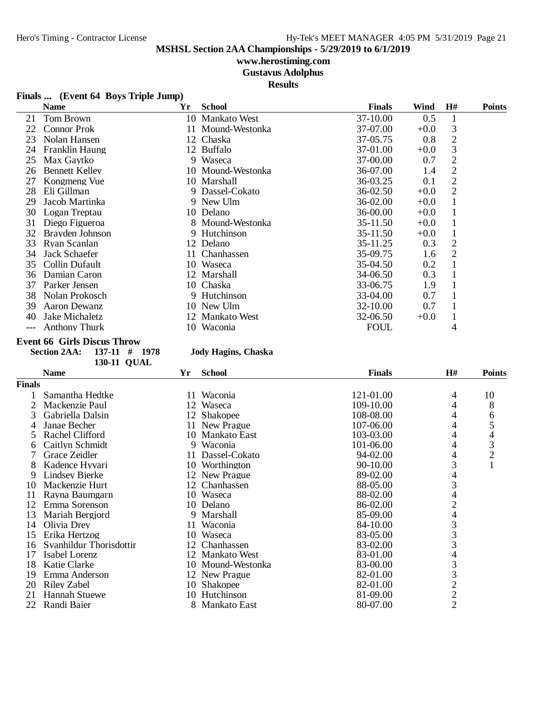# **www.herostiming.com**

**Gustavus Adolphus**

**Results**

| Finals  (Event 64 Boys Triple Jump) |  |  |
|-------------------------------------|--|--|
|                                     |  |  |

| <b>Name</b>           | Yr       | <b>School</b> | <b>Finals</b>                                                                                                                                                                                                                                                                                                                          | Wind   | H#             | <b>Points</b> |
|-----------------------|----------|---------------|----------------------------------------------------------------------------------------------------------------------------------------------------------------------------------------------------------------------------------------------------------------------------------------------------------------------------------------|--------|----------------|---------------|
| Tom Brown             |          |               | 37-10.00                                                                                                                                                                                                                                                                                                                               | 0.5    |                |               |
| <b>Connor Prok</b>    |          |               | 37-07.00                                                                                                                                                                                                                                                                                                                               | $+0.0$ | 3              |               |
| Nolan Hansen          |          |               | 37-05.75                                                                                                                                                                                                                                                                                                                               | 0.8    | $\overline{2}$ |               |
| <b>Franklin Haung</b> |          |               | 37-01.00                                                                                                                                                                                                                                                                                                                               | $+0.0$ | 3              |               |
| Max Gaytko            |          |               | 37-00.00                                                                                                                                                                                                                                                                                                                               | 0.7    | $\overline{2}$ |               |
| <b>Bennett Kelley</b> |          |               | 36-07.00                                                                                                                                                                                                                                                                                                                               | 1.4    | $\overline{2}$ |               |
| Kongmeng Vue          |          |               | 36-03.25                                                                                                                                                                                                                                                                                                                               | 0.1    | 2              |               |
| Eli Gillman           |          |               | 36-02.50                                                                                                                                                                                                                                                                                                                               | $+0.0$ | 2              |               |
| Jacob Martinka        |          |               | 36-02.00                                                                                                                                                                                                                                                                                                                               | $+0.0$ |                |               |
| Logan Treptau         |          |               | 36-00.00                                                                                                                                                                                                                                                                                                                               | $+0.0$ |                |               |
| Diego Figueroa        |          |               | 35-11.50                                                                                                                                                                                                                                                                                                                               | $+0.0$ |                |               |
| Brayden Johnson       |          |               | 35-11.50                                                                                                                                                                                                                                                                                                                               | $+0.0$ |                |               |
| Ryan Scanlan          |          |               | 35-11.25                                                                                                                                                                                                                                                                                                                               | 0.3    | 2              |               |
| Jack Schaefer         |          |               | 35-09.75                                                                                                                                                                                                                                                                                                                               | 1.6    | 2              |               |
| Collin Dufault        |          |               | 35-04.50                                                                                                                                                                                                                                                                                                                               | 0.2    |                |               |
| Damian Caron          |          |               | 34-06.50                                                                                                                                                                                                                                                                                                                               | 0.3    |                |               |
| Parker Jensen         |          |               | 33-06.75                                                                                                                                                                                                                                                                                                                               | 1.9    |                |               |
| Nolan Prokosch        |          |               | 33-04.00                                                                                                                                                                                                                                                                                                                               | 0.7    |                |               |
| Aaron Dewanz          |          |               | 32-10.00                                                                                                                                                                                                                                                                                                                               | 0.7    |                |               |
| Jake Michaletz        |          |               | 32-06.50                                                                                                                                                                                                                                                                                                                               | $+0.0$ |                |               |
| <b>Anthony Thurk</b>  |          |               | <b>FOUL</b>                                                                                                                                                                                                                                                                                                                            |        | 4              |               |
|                       | 30<br>36 |               | 10 Mankato West<br>11 Mound-Westonka<br>12 Chaska<br>12 Buffalo<br>9 Waseca<br>10 Mound-Westonka<br>10 Marshall<br>9 Dassel-Cokato<br>9 New Ulm<br>10 Delano<br>8 Mound-Westonka<br>9 Hutchinson<br>12 Delano<br>11 Chanhassen<br>10 Waseca<br>12 Marshall<br>10 Chaska<br>9 Hutchinson<br>10 New Ulm<br>12 Mankato West<br>10 Waconia |        |                |               |

#### **Event 66 Girls Discus Throw**

**Section 2AA: 137-11 # 1978 Jody Hagins, Chaska 130-11 QUAL**

|        | <b>Name</b>             | Yr  | <b>School</b>     | <b>Finals</b> | H#             | <b>Points</b>  |
|--------|-------------------------|-----|-------------------|---------------|----------------|----------------|
| Finals |                         |     |                   |               |                |                |
|        | Samantha Hedtke         | 11- | Waconia           | 121-01.00     | 4              | 10             |
| 2      | Mackenzie Paul          |     | 12 Waseca         | 109-10.00     | 4              | 8              |
| 3      | Gabriella Dalsin        |     | 12 Shakopee       | 108-08.00     | 4              | 6              |
| 4      | Janae Becher            |     | 11 New Prague     | 107-06.00     | 4              | 5              |
| 5      | Rachel Clifford         | 10  | Mankato East      | 103-03.00     | 4              | 4              |
| 6      | Caitlyn Schmidt         |     | 9 Waconia         | 101-06.00     | 4              | 3              |
|        | Grace Zeidler           | 11  | Dassel-Cokato     | 94-02.00      | 4              | $\overline{2}$ |
| 8      | Kadence Hyvari          | 10  | Worthington       | 90-10.00      | 3              | $\mathbf{1}$   |
| 9      | Lindsey Bjerke          |     | 12 New Prague     | 89-02.00      | 4              |                |
| 10     | Mackenzie Hurt          |     | 12 Chanhassen     | 88-05.00      | 3              |                |
| 11     | Rayna Baumgarn          |     | 10 Waseca         | 88-02.00      | 4              |                |
| 12     | Emma Sorenson           |     | 10 Delano         | 86-02.00      | $\overline{c}$ |                |
| 13     | Mariah Bergjord         |     | 9 Marshall        | 85-09.00      | 4              |                |
| 14     | Olivia Drey             | 11  | Waconia           | 84-10.00      | 3              |                |
| 15     | Erika Hertzog           |     | 10 Waseca         | 83-05.00      | 3              |                |
| 16     | Svanhildur Thorisdottir | 12  | Chanhassen        | 83-02.00      | 3              |                |
| 17     | Isabel Lorenz           |     | 12 Mankato West   | 83-01.00      | 4              |                |
| 18     | Katie Clarke            |     | 10 Mound-Westonka | 83-00.00      | 3              |                |
| 19     | Emma Anderson           |     | 12 New Prague     | 82-01.00      | 3              |                |
| 20     | Riley Zabel             |     | 10 Shakopee       | 82-01.00      | $\overline{c}$ |                |
| 21     | <b>Hannah Stuewe</b>    |     | 10 Hutchinson     | 81-09.00      | $\frac{2}{2}$  |                |
| 22     | Randi Baier             |     | 8 Mankato East    | 80-07.00      |                |                |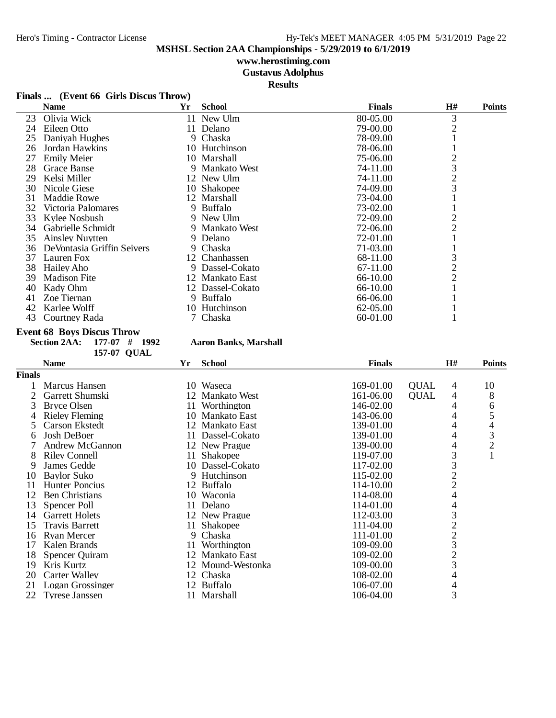## **www.herostiming.com**

**Gustavus Adolphus**

**Results**

## **Finals ... (Event 66 Girls Discus Throw)**

|    | <b>Name</b>                | Yr | <b>School</b>    | <b>Finals</b> | H#             | <b>Points</b> |
|----|----------------------------|----|------------------|---------------|----------------|---------------|
| 23 | Olivia Wick                |    | 11 New Ulm       | 80-05.00      | 3              |               |
| 24 | Eileen Otto                |    | 11 Delano        | 79-00.00      | 2              |               |
| 25 | Daniyah Hughes             |    | 9 Chaska         | 78-09.00      |                |               |
| 26 | Jordan Hawkins             |    | 10 Hutchinson    | 78-06.00      |                |               |
| 27 | <b>Emily Meier</b>         |    | 10 Marshall      | 75-06.00      | 2              |               |
| 28 | <b>Grace Banse</b>         |    | 9 Mankato West   | 74-11.00      | 3              |               |
| 29 | Kelsi Miller               |    | 12 New Ulm       | 74-11.00      | $\overline{c}$ |               |
| 30 | Nicole Giese               |    | 10 Shakopee      | 74-09.00      | 3              |               |
| 31 | Maddie Rowe                |    | 12 Marshall      | 73-04.00      |                |               |
| 32 | Victoria Palomares         |    | 9 Buffalo        | 73-02.00      |                |               |
| 33 | Kylee Nosbush              |    | 9 New Ulm        | 72-09.00      |                |               |
| 34 | Gabrielle Schmidt          |    | 9 Mankato West   | 72-06.00      | 2              |               |
| 35 | <b>Ainsley Nuytten</b>     |    | 9 Delano         | 72-01.00      |                |               |
| 36 | DeVontasia Griffin Seivers |    | 9 Chaska         | 71-03.00      |                |               |
| 37 | Lauren Fox                 |    | 12 Chanhassen    | 68-11.00      | 3              |               |
| 38 | Hailey Aho                 |    | 9 Dassel-Cokato  | 67-11.00      |                |               |
| 39 | <b>Madison Fite</b>        |    | 12 Mankato East  | 66-10.00      | 2              |               |
| 40 | Kady Ohm                   |    | 12 Dassel-Cokato | 66-10.00      |                |               |
| 41 | Zoe Tiernan                |    | 9 Buffalo        | 66-06.00      |                |               |
| 42 | Karlee Wolff               |    | 10 Hutchinson    | 62-05.00      |                |               |
| 43 | Courtney Rada              |    | 7 Chaska         | 60-01.00      |                |               |

#### **Event 68 Boys Discus Throw**

#### **Section 2AA: 177-07 # 1992 Aaron Banks, Marshall**

| 157-07 QUAL            |    |                 |                                                                                                                                                                                                                                                     |             |                          |                                                                                 |
|------------------------|----|-----------------|-----------------------------------------------------------------------------------------------------------------------------------------------------------------------------------------------------------------------------------------------------|-------------|--------------------------|---------------------------------------------------------------------------------|
| <b>Name</b>            | Yr | <b>School</b>   | <b>Finals</b>                                                                                                                                                                                                                                       |             | H#                       | <b>Points</b>                                                                   |
| Finals                 |    |                 |                                                                                                                                                                                                                                                     |             |                          |                                                                                 |
| Marcus Hansen          |    |                 | 169-01.00                                                                                                                                                                                                                                           | <b>QUAL</b> | 4                        | 10                                                                              |
| Garrett Shumski        |    |                 | 161-06.00                                                                                                                                                                                                                                           | <b>OUAL</b> | 4                        | 8                                                                               |
| Bryce Olsen            |    | Worthington     | 146-02.00                                                                                                                                                                                                                                           |             | 4                        | 6                                                                               |
| Rieley Fleming         |    | Mankato East    | 143-06.00                                                                                                                                                                                                                                           |             | 4                        | 5                                                                               |
| Carson Ekstedt         |    |                 | 139-01.00                                                                                                                                                                                                                                           |             | 4                        | 4                                                                               |
| Josh DeBoer            |    | Dassel-Cokato   | 139-01.00                                                                                                                                                                                                                                           |             | 4                        | $\mathfrak{Z}$                                                                  |
| <b>Andrew McGannon</b> |    | New Prague      | 139-00.00                                                                                                                                                                                                                                           |             | 4                        | $\overline{c}$                                                                  |
| <b>Riley Connell</b>   | 11 | <b>Shakopee</b> | 119-07.00                                                                                                                                                                                                                                           |             | 3                        | $\mathbf{1}$                                                                    |
| James Gedde            |    | Dassel-Cokato   | 117-02.00                                                                                                                                                                                                                                           |             |                          |                                                                                 |
| <b>Baylor Suko</b>     |    |                 | 115-02.00                                                                                                                                                                                                                                           |             |                          |                                                                                 |
| <b>Hunter Poncius</b>  |    |                 | 114-10.00                                                                                                                                                                                                                                           |             |                          |                                                                                 |
| <b>Ben Christians</b>  |    |                 | 114-08.00                                                                                                                                                                                                                                           |             | $\overline{\mathcal{L}}$ |                                                                                 |
| Spencer Poll           | 11 | Delano          | 114-01.00                                                                                                                                                                                                                                           |             | 4                        |                                                                                 |
| <b>Garrett Holets</b>  |    |                 | 112-03.00                                                                                                                                                                                                                                           |             |                          |                                                                                 |
| <b>Travis Barrett</b>  |    |                 | 111-04.00                                                                                                                                                                                                                                           |             |                          |                                                                                 |
| Ryan Mercer            |    |                 | 111-01.00                                                                                                                                                                                                                                           |             |                          |                                                                                 |
| Kalen Brands           |    | Worthington     | 109-09.00                                                                                                                                                                                                                                           |             |                          |                                                                                 |
| Spencer Quiram         |    |                 | 109-02.00                                                                                                                                                                                                                                           |             |                          |                                                                                 |
| Kris Kurtz             |    |                 | 109-00.00                                                                                                                                                                                                                                           |             |                          |                                                                                 |
| <b>Carter Walley</b>   |    | Chaska          | 108-02.00                                                                                                                                                                                                                                           |             | 4                        |                                                                                 |
| Logan Grossinger       |    |                 | 106-07.00                                                                                                                                                                                                                                           |             | 4                        |                                                                                 |
| <b>Tyrese Janssen</b>  |    |                 | 106-04.00                                                                                                                                                                                                                                           |             | 3                        |                                                                                 |
|                        |    | 11<br>12        | 10 Waseca<br>12 Mankato West<br>11 -<br>10<br>Mankato East<br>12<br>10<br>9 Hutchinson<br>12 Buffalo<br>10 Waconia<br>12 New Prague<br>Shakopee<br>11<br>9 Chaska<br>11-<br>12 Mankato East<br>12 Mound-Westonka<br>12<br>12 Buffalo<br>11 Marshall |             |                          | $\begin{array}{c} 3 \\ 2 \\ 2 \end{array}$<br>3<br>$\frac{2}{3}$<br>$rac{2}{3}$ |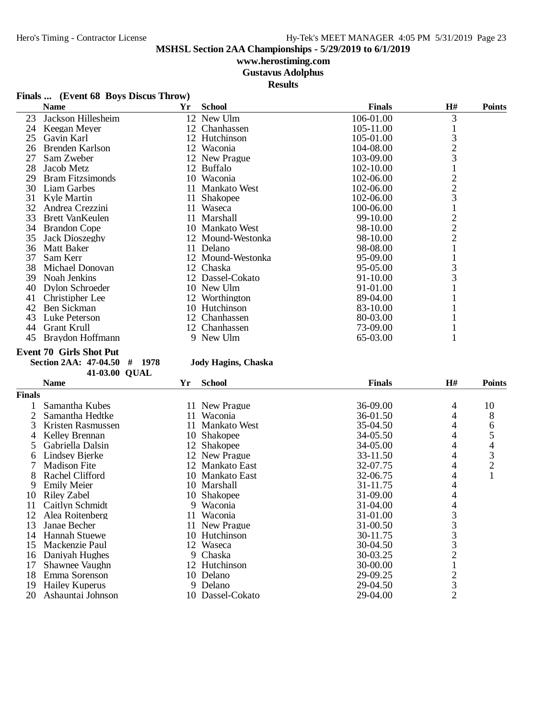## **www.herostiming.com**

**Gustavus Adolphus**

**Results**

## **Finals ... (Event 68 Boys Discus Throw)**

|    | <b>Name</b>             | Yr | <b>School</b>     | <b>Finals</b> | <b>H#</b>      | <b>Points</b> |
|----|-------------------------|----|-------------------|---------------|----------------|---------------|
| 23 | Jackson Hillesheim      |    | 12 New Ulm        | 106-01.00     | 3              |               |
| 24 | Keegan Meyer            |    | 12 Chanhassen     | 105-11.00     |                |               |
| 25 | Gavin Karl              |    | 12 Hutchinson     | 105-01.00     | 3              |               |
| 26 | Brenden Karlson         |    | 12 Waconia        | 104-08.00     | $\overline{c}$ |               |
| 27 | Sam Zweber              |    | 12 New Prague     | 103-09.00     | 3              |               |
| 28 | Jacob Metz              |    | 12 Buffalo        | 102-10.00     |                |               |
| 29 | <b>Bram Fitzsimonds</b> |    | 10 Waconia        | 102-06.00     | $\overline{c}$ |               |
| 30 | Liam Garbes             |    | 11 Mankato West   | 102-06.00     | $\frac{2}{3}$  |               |
| 31 | Kyle Martin             |    | 11 Shakopee       | 102-06.00     |                |               |
| 32 | Andrea Crezzini         |    | 11 Waseca         | 100-06.00     |                |               |
| 33 | <b>Brett VanKeulen</b>  |    | 11 Marshall       | 99-10.00      | $\overline{c}$ |               |
| 34 | <b>Brandon Cope</b>     |    | 10 Mankato West   | 98-10.00      | $\overline{c}$ |               |
| 35 | Jack Dioszeghy          |    | 12 Mound-Westonka | 98-10.00      | $\overline{2}$ |               |
| 36 | Matt Baker              |    | 11 Delano         | 98-08.00      |                |               |
| 37 | Sam Kerr                |    | 12 Mound-Westonka | 95-09.00      |                |               |
| 38 | Michael Donovan         |    | 12 Chaska         | 95-05.00      | 3              |               |
| 39 | Noah Jenkins            |    | 12 Dassel-Cokato  | 91-10.00      | 3              |               |
| 40 | Dylon Schroeder         |    | 10 New Ulm        | 91-01.00      |                |               |
| 41 | Christipher Lee         |    | 12 Worthington    | 89-04.00      |                |               |
| 42 | Ben Sickman             |    | 10 Hutchinson     | 83-10.00      |                |               |
| 43 | Luke Peterson           |    | 12 Chanhassen     | 80-03.00      |                |               |
| 44 | Grant Krull             | 12 | Chanhassen        | 73-09.00      |                |               |
| 45 | Braydon Hoffmann        |    | 9 New Ulm         | 65-03.00      |                |               |

### **Event 70 Girls Shot Put**

**Section 2AA: 47-04.50 # 1978 Jody Hagins, Chaska**

|               | 41-03.00 QUAL         |     |                     |               |                |                |
|---------------|-----------------------|-----|---------------------|---------------|----------------|----------------|
|               | <b>Name</b>           | Yr  | <b>School</b>       | <b>Finals</b> | H#             | <b>Points</b>  |
| <b>Finals</b> |                       |     |                     |               |                |                |
|               | Samantha Kubes        |     | 11 New Prague       | 36-09.00      | 4              | 10             |
|               | Samantha Hedtke       |     | 11 Waconia          | 36-01.50      | 4              | 8              |
| 3             | Kristen Rasmussen     | 11  | <b>Mankato West</b> | 35-04.50      | 4              | 6              |
|               | Kelley Brennan        |     | 10 Shakopee         | 34-05.50      | 4              | 5              |
| 5.            | Gabriella Dalsin      |     | 12 Shakopee         | 34-05.00      | 4              | 4              |
| 6             | Lindsey Bierke        |     | 12 New Prague       | 33-11.50      | 4              | 3              |
|               | <b>Madison Fite</b>   |     | 12 Mankato East     | 32-07.75      | 4              | $\overline{2}$ |
| 8             | Rachel Clifford       |     | 10 Mankato East     | 32-06.75      | 4              |                |
| 9             | <b>Emily Meier</b>    |     | 10 Marshall         | 31-11.75      | 4              |                |
| 10            | Riley Zabel           |     | 10 Shakopee         | 31-09.00      | 4              |                |
| 11            | Caitlyn Schmidt       | 9   | Waconia             | 31-04.00      | 4              |                |
| 12            | Alea Roitenberg       | 11. | <i>Waconia</i>      | 31-01.00      | 3              |                |
| 13            | Janae Becher          |     | 11 New Prague       | 31-00.50      | 3              |                |
| 14            | <b>Hannah Stuewe</b>  |     | 10 Hutchinson       | 30-11.75      | $\frac{3}{3}$  |                |
| 15            | Mackenzie Paul        | 12  | Waseca              | 30-04.50      |                |                |
| 16            | Daniyah Hughes        | 9   | Chaska              | 30-03.25      | $\overline{c}$ |                |
| 17            | Shawnee Vaughn        | 12  | Hutchinson          | 30-00.00      |                |                |
| 18            | Emma Sorenson         | 10  | Delano              | 29-09.25      | $\overline{c}$ |                |
| 19            | <b>Hailey Kuperus</b> | 9   | Delano              | 29-04.50      | 3              |                |
| 20            | Ashauntai Johnson     |     | 10 Dassel-Cokato    | 29-04.00      | $\overline{2}$ |                |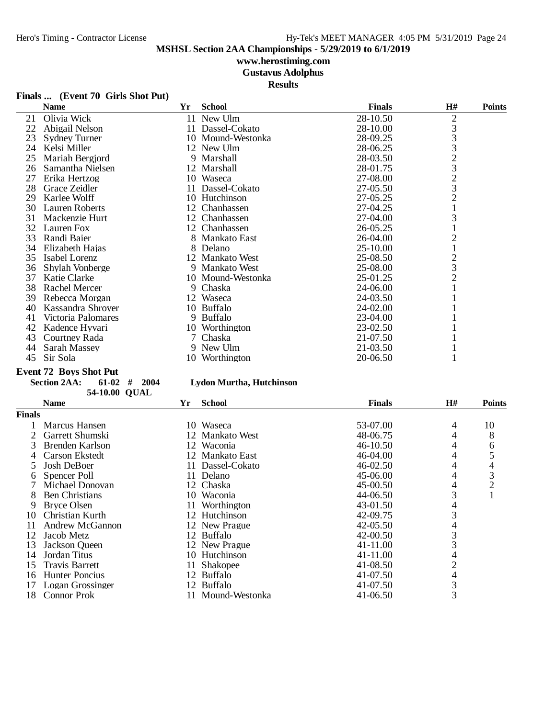## **www.herostiming.com Gustavus Adolphus**

**Results**

|  |  | Finals  (Event 70 Girls Shot Put) |
|--|--|-----------------------------------|
|--|--|-----------------------------------|

|    | <b>Name</b>          | Yr     | <b>School</b>     | <b>Finals</b> | H#                                         | <b>Points</b> |
|----|----------------------|--------|-------------------|---------------|--------------------------------------------|---------------|
| 21 | Olivia Wick          |        | 11 New Ulm        | 28-10.50      | $\overline{2}$                             |               |
| 22 | Abigail Nelson       |        | 11 Dassel-Cokato  | 28-10.00      |                                            |               |
| 23 | <b>Sydney Turner</b> |        | 10 Mound-Westonka | 28-09.25      | $\begin{array}{c} 3 \\ 3 \\ 3 \end{array}$ |               |
| 24 | Kelsi Miller         |        | 12 New Ulm        | 28-06.25      |                                            |               |
| 25 | Mariah Bergjord      |        | 9 Marshall        | 28-03.50      | $\frac{2}{3}$                              |               |
| 26 | Samantha Nielsen     |        | 12 Marshall       | 28-01.75      |                                            |               |
| 27 | Erika Hertzog        |        | 10 Waseca         | 27-08.00      | $\frac{2}{3}$                              |               |
| 28 | Grace Zeidler        |        | 11 Dassel-Cokato  | 27-05.50      |                                            |               |
| 29 | Karlee Wolff         |        | 10 Hutchinson     | 27-05.25      | $\overline{c}$                             |               |
| 30 | Lauren Roberts       | 12     | Chanhassen        | 27-04.25      |                                            |               |
| 31 | Mackenzie Hurt       |        | 12 Chanhassen     | 27-04.00      | 3                                          |               |
| 32 | Lauren Fox           |        | 12 Chanhassen     | 26-05.25      |                                            |               |
| 33 | Randi Baier          |        | 8 Mankato East    | 26-04.00      | $\overline{2}$                             |               |
| 34 | Elizabeth Hajas      |        | 8 Delano          | 25-10.00      |                                            |               |
| 35 | Isabel Lorenz        |        | 12 Mankato West   | 25-08.50      | $\frac{2}{3}$                              |               |
| 36 | Shylah Vonberge      |        | 9 Mankato West    | 25-08.00      |                                            |               |
| 37 | Katie Clarke         |        | 10 Mound-Westonka | 25-01.25      | $\overline{c}$                             |               |
| 38 | Rachel Mercer        |        | 9 Chaska          | 24-06.00      |                                            |               |
| 39 | Rebecca Morgan       |        | 12 Waseca         | 24-03.50      |                                            |               |
| 40 | Kassandra Shrover    |        | 10 Buffalo        | 24-02.00      |                                            |               |
| 41 | Victoria Palomares   |        | 9 Buffalo         | 23-04.00      |                                            |               |
| 42 | Kadence Hyvari       |        | 10 Worthington    | 23-02.50      |                                            |               |
| 43 | Courtney Rada        | $\tau$ | Chaska            | 21-07.50      |                                            |               |
| 44 | Sarah Massey         |        | 9 New Ulm         | 21-03.50      |                                            |               |
| 45 | Sir Sola             |        | 10 Worthington    | 20-06.50      |                                            |               |

### **Event 72 Boys Shot Put**

## **Section 2AA: 61-02 # 2004 Lydon Murtha, Hutchinson**

**54-10.00 QUAL** 

|               | <b>Name</b>           | Yr  | <b>School</b>     | <b>Finals</b> | H# | <b>Points</b>  |
|---------------|-----------------------|-----|-------------------|---------------|----|----------------|
| <b>Finals</b> |                       |     |                   |               |    |                |
|               | Marcus Hansen         |     | 10 Waseca         | 53-07.00      | 4  | 10             |
|               | Garrett Shumski       |     | 12 Mankato West   | 48-06.75      |    | 8              |
|               | Brenden Karlson       |     | 12 Waconia        | 46-10.50      |    | 6              |
|               | Carson Ekstedt        |     | 12 Mankato East   | 46-04.00      | 4  | 5              |
|               | Josh DeBoer           | 11  | Dassel-Cokato     | 46-02.50      | 4  | 4              |
| 6             | Spencer Poll          | 11  | Delano            | 45-06.00      | 4  | 3              |
|               | Michael Donovan       |     | 12 Chaska         | 45-00.50      | 4  | $\overline{2}$ |
| 8             | <b>Ben Christians</b> |     | 10 Waconia        | 44-06.50      |    |                |
| 9             | <b>Bryce Olsen</b>    |     | 11 Worthington    | 43-01.50      | 4  |                |
| 10            | Christian Kurth       |     | 12 Hutchinson     | 42-09.75      |    |                |
| 11            | Andrew McGannon       |     | 12 New Prague     | $42 - 05.50$  | 4  |                |
| 12            | Jacob Metz            |     | 12 Buffalo        | 42-00.50      | 3  |                |
| 13            | Jackson Queen         |     | 12 New Prague     | 41-11.00      |    |                |
| 14            | Jordan Titus          |     | 10 Hutchinson     | 41-11.00      | 4  |                |
| 15            | Travis Barrett        | 11. | Shakopee          | 41-08.50      | 2  |                |
| 16            | Hunter Poncius        | 12  | <b>Buffalo</b>    | 41-07.50      | 4  |                |
| 17            | Logan Grossinger      |     | 12 Buffalo        | 41-07.50      | 3  |                |
| 18            | Connor Prok           |     | 11 Mound-Westonka | 41-06.50      | 3  |                |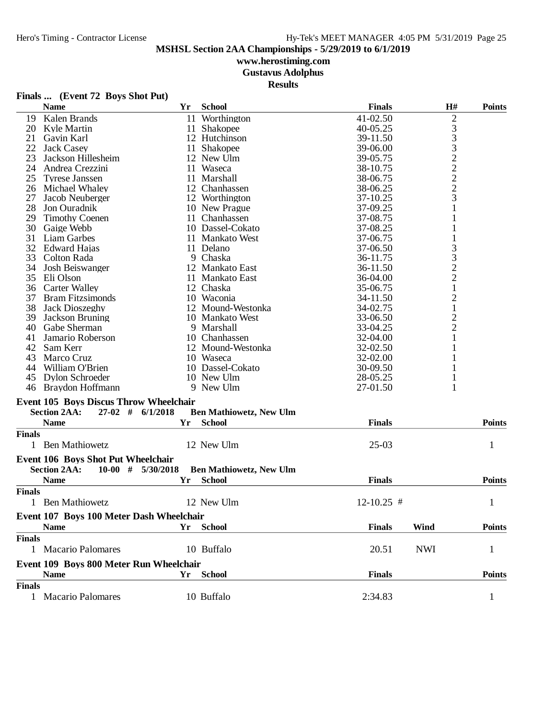# **www.herostiming.com**

**Gustavus Adolphus**

**Results**

|               | Finals  (Event 72 Boys Shot Put)              |           |                                |                |                |               |
|---------------|-----------------------------------------------|-----------|--------------------------------|----------------|----------------|---------------|
|               | <b>Name</b>                                   | Yr        | <b>School</b>                  | <b>Finals</b>  | H#             | <b>Points</b> |
| 19            | Kalen Brands                                  | 11        | Worthington                    | 41-02.50       | $\overline{c}$ |               |
| 20            | Kyle Martin                                   |           | 11 Shakopee                    | 40-05.25       | 3              |               |
| 21            | Gavin Karl                                    |           | 12 Hutchinson                  | 39-11.50       | 3              |               |
| 22            | Jack Casey                                    | 11        | Shakopee                       | 39-06.00       | 3              |               |
| 23            | Jackson Hillesheim                            |           | 12 New Ulm                     | 39-05.75       | $\overline{c}$ |               |
| 24            | Andrea Crezzini                               |           | 11 Waseca                      | 38-10.75       | $\overline{c}$ |               |
| 25            | <b>Tyrese Janssen</b>                         |           | 11 Marshall                    | 38-06.75       | $\overline{c}$ |               |
| 26            | Michael Whaley                                |           | 12 Chanhassen                  | 38-06.25       | $\overline{c}$ |               |
| 27            | Jacob Neuberger                               |           | 12 Worthington                 | 37-10.25       | 3              |               |
| 28            | Jon Ouradnik                                  |           | 10 New Prague                  | 37-09.25       | 1              |               |
| 29            | <b>Timothy Coenen</b>                         |           | 11 Chanhassen                  | 37-08.75       | 1              |               |
| 30            | Gaige Webb                                    |           | 10 Dassel-Cokato               | 37-08.25       | 1              |               |
| 31            | Liam Garbes                                   |           | 11 Mankato West                | 37-06.75       | 1              |               |
| 32            | <b>Edward Hajas</b>                           |           | 11 Delano                      | 37-06.50       | 3              |               |
| 33            | Colton Rada                                   |           | 9 Chaska                       | 36-11.75       | 3              |               |
| 34            | Josh Beiswanger                               |           | 12 Mankato East                | 36-11.50       | $\overline{c}$ |               |
| 35            | Eli Olson                                     |           | 11 Mankato East                | 36-04.00       | $\overline{c}$ |               |
| 36            | <b>Carter Walley</b>                          |           | 12 Chaska                      | 35-06.75       | $\mathbf{1}$   |               |
| 37            | <b>Bram Fitzsimonds</b>                       |           | 10 Waconia                     | 34-11.50       | $\overline{c}$ |               |
| 38            | Jack Dioszeghy                                |           | 12 Mound-Westonka              | 34-02.75       | $\mathbf{1}$   |               |
| 39            | Jackson Bruning                               |           | 10 Mankato West                | 33-06.50       | $\overline{c}$ |               |
| 40            | Gabe Sherman                                  |           | 9 Marshall                     | 33-04.25       | $\overline{c}$ |               |
| 41            | Jamario Roberson                              |           | 10 Chanhassen                  | 32-04.00       | $\mathbf{1}$   |               |
| 42            | Sam Kerr                                      |           | 12 Mound-Westonka              | 32-02.50       | 1              |               |
| 43            | Marco Cruz                                    |           | 10 Waseca                      | 32-02.00       | 1              |               |
| 44            | William O'Brien                               |           | 10 Dassel-Cokato               | 30-09.50       | 1              |               |
| 45            | <b>Dylon Schroeder</b>                        |           | 10 New Ulm                     | 28-05.25       | 1              |               |
|               | 46 Braydon Hoffmann                           |           | 9 New Ulm                      | 27-01.50       | 1              |               |
|               |                                               |           |                                |                |                |               |
|               | <b>Event 105 Boys Discus Throw Wheelchair</b> |           |                                |                |                |               |
|               | <b>Section 2AA:</b><br>$27-02$ #              | 6/1/2018  | <b>Ben Mathiowetz, New Ulm</b> |                |                |               |
|               | <b>Name</b>                                   | Yr        | <b>School</b>                  | <b>Finals</b>  |                | <b>Points</b> |
| <b>Finals</b> |                                               |           |                                |                |                |               |
|               | 1 Ben Mathiowetz                              |           | 12 New Ulm                     | $25-03$        |                | 1             |
|               | Event 106 Boys Shot Put Wheelchair            |           |                                |                |                |               |
|               | <b>Section 2AA:</b><br>$10-00$ #              | 5/30/2018 | <b>Ben Mathiowetz, New Ulm</b> |                |                |               |
|               | <b>Name</b>                                   | Yr        | <b>School</b>                  | <b>Finals</b>  |                | <b>Points</b> |
| <b>Finals</b> |                                               |           |                                |                |                |               |
|               | 1 Ben Mathiowetz                              |           | 12 New Ulm                     | $12 - 10.25$ # |                | $\mathbf{1}$  |
|               | Event 107 Boys 100 Meter Dash Wheelchair      |           |                                |                |                |               |
|               | <b>Name</b>                                   | Yr        | <b>School</b>                  | <b>Finals</b>  | Wind           | <b>Points</b> |
| <b>Finals</b> |                                               |           |                                |                |                |               |
|               | 1 Macario Palomares                           |           | 10 Buffalo                     |                | <b>NWI</b>     |               |
|               |                                               |           |                                | 20.51          |                | 1             |
|               | Event 109 Boys 800 Meter Run Wheelchair       |           |                                |                |                |               |
|               | <b>Name</b>                                   | Yr        | <b>School</b>                  | <b>Finals</b>  |                | <b>Points</b> |
| <b>Finals</b> |                                               |           |                                |                |                |               |

Macario Palomares 10 Buffalo 2:34.83 1